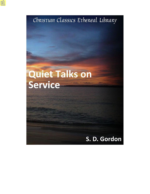Christian Classics Ethereal Library

# Quiet Talks on **Service**

# S. D. Gordon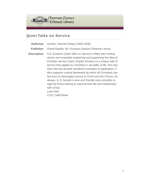

### **Quiet Talks on Service**

**Author(s):** Gordon, Samuel Dickey (1859-1936) **Publisher:** Grand Rapids, MI: Christian Classics Ethereal Library **Description:** S.D. Gordon's *Quiet Talks on Service* is filled with riveting stories and examples explaining and supporting the idea of Christian service. Each chapter focuses on a unique side of service that applies to Christians in all walks of life. Not only does this text provide wonderful examples of application, it also supports a great framework by which all Christians can live lives of meaningful service to Christ and the Church. As always, S. D. Gordon's wise and friendly voice provides insight for those looking to improve their life and relationship with Christ. Luke Getz CCEL Staff Writer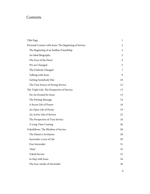## Contents

| Title Page                                            | $\mathbf{1}$   |
|-------------------------------------------------------|----------------|
| Personal Contact with Jesus: The Beginning of Service | 2              |
| The Beginning of an Endless Friendship                | 2              |
| An Ideal Biography                                    | 3              |
| The Eyes of the Heart                                 | $\overline{4}$ |
| We are Changed                                        | 5              |
| The Outlook Changed                                   | 7              |
| Talking with Jesus                                    | 9              |
| Getting Somebody Else                                 | 10             |
| The True Source of Strong Service                     | 12             |
| The Triple Life: The Perspective of Service           | 13             |
| On An Errand for Jesus                                | 13             |
| The Parting Message                                   | 14             |
| A Secret Life of Prayer                               | 16             |
| An Open Life of Purity                                | 19             |
| An Active Life of Service                             | 22             |
| The Perspective of True Service                       | 24             |
| A Long Time Coming                                    | 26             |
| Yokefellows: The Rhythm of Service                    | 28             |
| The Master's Invitation                               | 28             |
| Surrender a Law of Life                               | 29             |
| Free Surrender                                        | 31             |
| "Him"                                                 | 32             |
| <b>Yoked Service</b>                                  | 33             |
| In Step with Jesus                                    | 34             |
| The Scar-marks of Surrender                           | 36             |
|                                                       |                |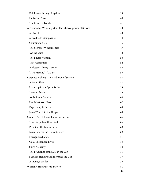| Full Power through Rhythm                              | 38  |
|--------------------------------------------------------|-----|
| He is Our Peace                                        | 40  |
| The Master's Touch                                     | 41  |
| A Passion for Winning Men: The Motive-power of Service | 43  |
| A Day Off                                              | 43  |
| Moved with Compassion                                  | 44  |
| Counting on Us                                         | 45  |
| The Secret of Winsomeness                              | 47  |
| "As the Stars"                                         | 48  |
| The Finest Wisdom                                      | 50  |
| Three Essentials                                       | 52  |
| A Blessed Library Corner                               | 53  |
| "Two Missing"--"Go Ye"                                 | 55  |
| Deep-Sea Fishing: The Ambition of Service              | 57  |
| A Water Haul                                           | 57  |
| Living up in the Spirit Realm                          | 58  |
| Saved to Serve                                         | 59  |
| Ambition in Service                                    | 60  |
| Use What You Have                                      | 62  |
| <b>Expectancy in Service</b>                           | 64  |
| Jesus Went into the Deeps                              | 65  |
| Money: The Golden Channel of Service                   | 66  |
| Touching a Limitless Circle                            | 66  |
| Peculiar Effects of Money                              | 68  |
| Jesus' Law for the Use of Money                        | 69  |
| Foreign Exchange                                       | 71  |
| Gold-Exchanged Lives                                   | 73  |
| Spirit Alchemy                                         | 74  |
| The Fragrance of the Life in the Gift                  | 75  |
| Sacrifice Hallows and Increases the Gift               | 77  |
| A Living Sacrifice                                     | 79  |
| Worry: A Hindrance to Service                          | 81  |
|                                                        | iii |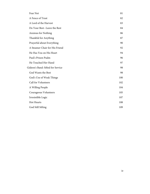| Fear Not                          | 81  |
|-----------------------------------|-----|
| A Fence of Trust                  | 82  |
| A Lord of the Harvest             | 83  |
| Do Your Best--Leave the Rest      | 84  |
| Anxious for Nothing               | 86  |
| Thankful for Anything             | 87  |
| Prayerful about Everything        | 90  |
| A Steamer Chair for His Friend    | 92  |
| He Has You on His Heart           | 94  |
| Paul's Prison Psalm               | 96  |
| He Touched Her Hand               | 97  |
| Gideon's Band: Sifted for Service | 98  |
| God Wants the Best                | 98  |
| God's Use of Weak Things          | 100 |
| Call for Volunteers               | 102 |
| A Willing People                  | 104 |
| Courageous Volunteers             | 105 |
| Irresistible Logic                | 107 |
| Hot Hearts                        | 108 |
| God Still Sifting                 | 109 |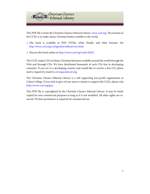

This PDF file is from the Christian Classics Ethereal Library, [www.ccel.org.](http://www.ccel.org) The mission of the CCEL is to make classic Christian books available to the world.

- This book is available in PDF, HTML, ePub, Kindle, and other formats. See <http://www.ccel.org/ccel/gordon/talksservice.html>.
- Discuss this book online at [http://www.ccel.org/node/28185.](http://www.ccel.org/node/28185)

The CCEL makes CDs of classic Christian literature available around the world through the Web and through CDs. We have distributed thousands of such CDs free in developing countries. If you are in a developing country and would like to receive a free CD, please send a request by email to [cd-request@ccel.org.](mailto:cd-request@ccel.org)

The Christian Classics Ethereal Library is a self supporting non-profit organization at Calvin College. If you wish to give of your time or money to support the CCEL, please visit [http://www.ccel.org/give.](http://www.ccel.org/give)

This PDF file is copyrighted by the Christian Classics Ethereal Library. It may be freely copied for non-commercial purposes as long as it is not modified. All other rights are reserved. Written permission is required for commercial use.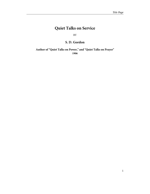# <span id="page-6-0"></span>**Quiet Talks on Service**

BY

#### **S. D. Gordon**

**Author of "Quiet Talks on Power," and "Quiet Talks on Prayer" 1906**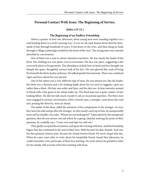#### <span id="page-7-0"></span>**Personal Contact With Jesus: The Beginning of Service.**

#### **(John i:35-51.)**

#### **The Beginning of an Endless Friendship.**

About a quarter of four one afternoon, three young men were standing together on a road leading down to a swift-running river. It was an old road, beaten down hard by thousands of feet through hundreds of years. It led down to the river, and then along its bank through a village scatteringly nestled by the fords of the river. The young men were intently absorbed in conversation.

One of them was a man to attract attention anywhere. He was clearly the leader of the three. His clothing was very plain, even to severeness. His face was spare, suggesting a diet as severely plain as his garments. The abundance of dark hair on head and face brought out sharply the spare, thoughtful, earnest look of his face. His eyes glowed like coals of living fire beneath the thick, bushy eyebrows. He talked quietly but intensely. There was a subdued vigor and force about his very person.

One of the others was a very different type of man. He was intense too, like the leader, but there was a fineness and a far-looking depth about his eye such as suggests a gray eye rather than a black. His hair was softer and finer, and his skin too. In him intensity seemed to blend with a fine grain in his whole make-up. The third man was a quiet, matter-of-fact looking fellow. He did not talk much, except to ask an occasional question. The three men were engaged in earnest conversation, when a fourth man, a stranger, came down the road and, passing the three by, went on ahead.

The leader of the three called the attention of his companions to the stranger. At once they leave his side and go after the stranger. As they nearly catch up to him, he unexpectedly turns and in a kindly voice asks, "Whom are you looking for?" Taken aback by the unexpected question, they do not answer, but ask where he is going. Quickly noticing the point of their question, he cordially says, "Come over and take tea with me."

They gladly accepted the invitation, and spent the evening with him. And the friendship begun that day continued to the end of their lives. Both became his dear friends. And one, the fine-grained, intense man, became his closest bosom friend. He never forgot that day. When he came years after to write about his hospitable friend, found that afternoon, he could remember every particular of their first meeting. We must always be grateful to John for his simple, full account of his first meeting with Jesus.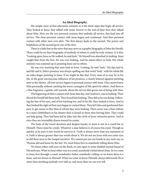#### **An Ideal Biography.**

<span id="page-8-0"></span>His simple story of that afternoon contains in it the three steps that begin all service. They looked at Jesus; they talked with Jesus; forever to the end of their lives they talked about Him. Here are the two personal contacts that underlie all service, that lead into all service. The close personal contact with Jesus begun and continued. And then personal contact with other men ever after. The first always leads to the second. The power and helpfulness of the second grow out of the first.

There is a little line in the story that may serve as a graphic biography of John the Herald. There could be no finer biography of anybody of whom it could be truly written. It is this: "Looking upon Jesus as He walked, he said look." He himself was absorbed in looking. Jesus caught him from the first. He was ever looking. And he asked others to look. His whole ministry was summed up in pointing Jesus out to others.

He was ever insisting that men look at Jesus. Looking, he said "look." His lips said it, and life said it. John's presence was always spelling out that word "look," with his whole life an index finger pointing to Jesus. If we might be like that. Every man of us may be in his life, in the great unconscious influence of his presence, a clearly lettered signpost pointing men to the Master. All true service begins in personal contact with Jesus. One cannot know Him personally without catching the warm contagion of His spirit for others. And there is a fine fragrance, a gentle, soft warmth, about the service that grows out of being with Him.

The beginning of John's contact with Jesus that day, and Andrew's, was in looking. Their friend the herald bid them look. They found him looking. They did as he was doing. Following the line of his eyes, and of his teaching too, and of his life, they looked at Jesus. And as they looked the sight of their eyes began to control them. They left John and quickened their pace to get nearer to this Man at whom they were looking. There never was a finer tribute to a man's faithfulness to his Master than is found in these men leaving John. They could not help going. They had been led by John into the circle of Jesus' attractive power. And at once they are irresistibly drawn toward its center.

The basis of the truest devotion and deepest loyalty to Jesus is not in a creed but in Himself. There must be creeds. Whatever a man believes is of course his creed. Though as quickly as he puts it into words he narrows it. Truth is always more than any statement of it. Faith is always greater than our words about it. We do not see Jesus with our outer eyes as did these men in the Gospel narrative. We cannot put out our hands in any such way as Thomas did and know by the feel. We must listen first to somebody telling about Him.

We listen either with eyes on the Book, or ears open to some faithful mutual friend of His and ours. What we hear either way is a creed, somebody's belief about Jesus. So we come to Jesus first through a creed, somebody's belief, somebody's telling: so we know there is a Jesus, and are drawn to Himself. When we come to know Himself, always afterwards He is more than anything anybody ever told us, and more than we can ever tell.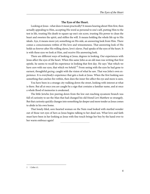#### **The Eyes of the Heart.**

<span id="page-9-0"></span>Looking at Jesus--what does it mean practically? It means hearing about Him first, then actually appealing to Him, accepting His word as personal to one's self, putting Him to the test in life, trusting His death to square up one's sin score, trusting His power to clean the heart and sweeten the spirit, and stiffen the will. It means holding the whole life up to His ideals. Aye, it means more yet; something on His side, an answering look from Him. There comes a consciousness within of His love and winsomeness. That answering look of His holds us forever after His willing slaves, love's slaves. Paul speaks of the eyes of the heart. It is with these eyes we look at Him, and receive His answering look.

There are different ways of looking at Jesus, degrees in looking. Our experiences with Jesus affect the eyes of the heart. When this same John as an old man was writing that first epistle, he seems to recall his experience in looking that first day. He says "that which we have *seen* with our eyes, that which we *beheld*."<sup>1</sup> From seeing with the eyes he had gone to earnest, thoughtful gazing, caught with the vision of what he saw. That was John's own experience. It is everybody's experience that gets a look at Jesus. When the first looking sees something that catches fire within, then does the inner fire affect the eye and more is seen.

You have been in a strange city walking down the street, looking with interest at what is there. But all at once you are caught by a sign that contains a familiar name, and at once a whole flood of memories is awakened.

The little Jericho Jew peering down from the low out-reaching sycamore branch was full of curiosity to see the Man that had changed his old friend Levi Matthew so strangely. But that curiosity quickly changes into something far deeper and more tender as Jesus comes to abide in his own home.

That lonely-lifed, sore-hearted woman on the Nain road looked with startled wonder out of those wet eyes of hers as Jesus begins talking to her dead son. What love and faith must have been in her looking as Jesus with fine touch brings her boy by the hand over to her warm embrace again!

<sup>1</sup> 1 John i:1.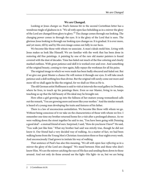#### **We are Changed.**

<span id="page-10-0"></span>Looking at Jesus changes us. Paul's famous bit in the second Corinthian letter has a wondrous tingle of gladness in it. "We all with open face beholding as in a mirror the glory of the Lord are changed from glory to glory."<sup>2</sup> The change comes through our looking. The changing power comes in through the eyes. It is the glory of the Lord that is seen. The glorious Jesus looking in through our looking eyes changes us. It is gradual. It is ever more, and yet more, till by and by His own image comes out fully in our faces.

We become like those with whom we associate. A man's ideals mold him. Living with Jesus makes us look like Himself. We are familiar with the work that has been done in restoring old fine paintings. A painting by one of the rare old master painters is found covered with the dust of decades. Time has faded out much of the fine coloring and clearly marked outlines. With great patience and skill it is worked over and over. And something of the original beauty, coming to view again, fully repays the workman for all his pains.

The original image in which we were made has been badly obscured and faded out. But if we give our great Master a chance He will restore it through our eyes. It will take much patience and a skill nothing less than divine. But the original will surely come out more and more till we shall again be like the original, for we shall see Him as He is.

The old German artist Hoffmann is said to visit at intervals the royal gallery in Dresden, where he lives, to touch up his paintings there. Even so our Master, living in us, keeps touching us up that the full beauty of His ideal may be brought out.

How often a girl growing up into the fullness of her mature young womanhood calls out the remark, "You are growing more and more like your mother." And the similar remark is heard of a young man developing the traits and features of his father.

There is a law of unconscious assimilation. We become like those with whom we go. Without being conscious of it we take on the characteristics of those with whom we live. I remember one time my brother returned home for a visit after a prolonged absence. As we were walking down the street together he said to me, "You have been going with Denning a good deal"--a mutual friend of ours. Surprised, I said, "How do you know I have?" He said, "You walk just like him." What my brother had said was strictly true, though he did not know it. Our friend had a very decided way of walking. As a matter of fact, we had been walking home from the Young Men's Christian Association three or four nights every week. And unconsciously I had grown to imitate his way of walking.

That sentence of Paul's has also this meaning, "We all with open face *reflecting* as in a mirror the glory of the Lord are changed." We stand between Him and those who don't know Him. We are the mirror catching the rays of His face and sending them down to those around. And not only do those around see the light--His light--in us, but we are being

<sup>2</sup> 2 Corinthians iii:18.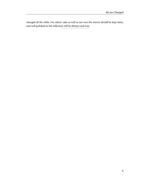changed all the while. For others' sake as well as our own the mirror should be kept clean, and well polished so the reflection will be distinct and true.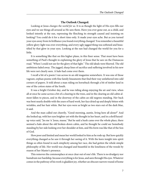#### **The Outlook Changed.**

<span id="page-12-0"></span>Looking at Jesus changes the world for us. It is as though the light of His eyes fills our eyes and we see things all around as He sees them. Have you ever gone out, as a child, and looked intently at the sun, repressing the flinching its strength caused and insisting on looking? You could do it for a short time only. It made your eyes ache. But as you turned your eyes away from its brilliance you found everything changed. You remember a beautiful yellow glory-light was over everything, and every ugly jagged thing was softened and beautified by that glow in your eyes. Looking at the sun had changed the world for you for a little.

It is something like that on this higher plane, in this finer sense. That must have been something of Paul's thought in explaining the glory of Jesus that he saw on the Damascus road. "When I could not see for the glory of that light." The old ideals were blurred. The old ambitions faded away. The jagged, sharp lines of sacrifice and suffering involved in his new life were not clearly seen. A halo had come over them.

I recall a bit of a poem I ran across in an old magazine somewhere. It was one of those vagrant, orphan poems with fine family lineaments that find their way unfathered into odd corners of papers. It told about a man riding on horseback through a bit of timber land in one of the cotton states of the South.

It was a bright October day, and he was riding along enjoying the air and view, when all at once he came across a bit of a clearing in the trees, and in the clearing an old cabin almost fallen to pieces, and in the doorway of the cabin an old negress standing. Her back was bent nearly double with the years of hard work, her face dried up and deeply bitten with wrinkles, and her hair white. But her eyes were as bright as two stars out of the dark blue, it said.

And the man called out cheerily, "Good-morning, auntie, living here all alone?" And she looked up, with her eyes brighter yet with the thought in her heart, and in a shrill keyedup voice said, "Jes me 'n' Jesus, massa." But he said a hush came over the whole place, there seemed a halo about the old broken-down cabin, and he thought he could see Somebody standing by her side looking over her shoulder at him, and His form was like that of the Son of God.

How poor and limited and mean her world looked to him as he rode up. But how quickly everything changed as he saw it through her seeing of it. With the keen insight into spirit things so often found in such simplicity among her race, she had gotten the whole simple philosophy of life. Her world was changed and beautiful in the loneliness of the woods by reason of her Master's presence.

This removes the commonplace at once clear out of one's life. There is no drudgery nor humdrum nor hardship, because everything is for Jesus, and seen through His eyes. Whatever comes in the pathway of his work is gladdest joy, whether an obscure narrow round of home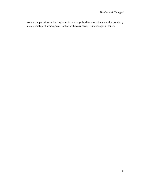work or shop or store, or leaving home for a strange land far across the sea with a peculiarly uncongenial spirit atmosphere. Contact with Jesus, seeing Him, changes all for us.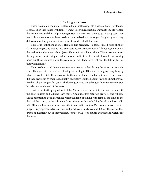#### **Talking with Jesus.**

<span id="page-14-0"></span>These two men in the story went from their first looking into closer contact. They looked at Jesus. Then they talked with Jesus. It was at His own request. He wanted them. He wanted their friendship and their help. Having started, it was easy for them to go. Having seen, they naturally wanted more. At least two hours they talked, maybe longer. Judging by what they did as soon as they got away, it was a most wonderful talk for them.

This Jesus took them at once. His face, His presence, His talk, Himself filled all their sky. Everything swung around into a new setting. He was its center. All things began to adjust themselves for these men about Jesus. He was irresistible to them. These two men went through some most trying experiences as a result of the friendship formed that evening hour, but these counted not in the scale with Him. They never got over the talk with Him that twilight hour.

That two hours' talk lengthened out into many another during the years immediately after. They got into the habit of referring everything to Him, and of judging everything by what He would think. It was so clear to the end of their lives. For a little over three years did they keep Him by their side actually, physically. But the habit of keeping Him there was fixed for all the longer after years. The looking at Jesus and talking with Jesus ever went side by side clear to the end of the years.

It will be so. Getting a good look at this Master draws one off into the quiet corner with the Book to listen and talk and learn more. And out of this naturally grows (if one will give a little attention to good gardening rules) the habit of talking with Him all the time. In the thick of the crowd, in the solitude of one's duties, with hands full of work, the heart talks with Him and listens, and sometimes the tongue talks out too. Our common word for it is prayer. Prayer precedes true service, and produces it, and sweetens it. Only the service that grows up naturally out of this personal contact with Jesus counts and tells and weighs for the most.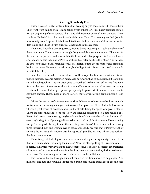#### **Getting Somebody Else.**

<span id="page-15-0"></span>These two men went away from Jesus that evening only to come back with some others. They went from talking with Him to talking with others for Him. Their personal contact was the beginning of their service. This is one of the famous personal work chapters. There are three "findeths" in it. Andrew findeth his brother Peter. That was a great find. John in his modesty doesn't speak of it, but in all likelihood he findeth James *his* brother. Jesus findeth Philip and Philip in turn findeth Nathaniel, the guileless man.

That word findeth is very suggestive, even to being picturesque. It tells the absence of these other men. Their whereabouts might be guessed, but were not known. There was in the searchers a purpose, and a warmth in the heart under that purpose. As Andrew looked and listened he said to himself, "Peter must hear this; Peter must see this Man." And perhaps he asks to be excused and, reaching for his hat, hastens out to get his brother and bring him back to the house. He wants more himself, but he'll get it with Peter in too. And so it would be with John likely.

Peter had to be searched for. Most men do. He was probably absorbed with all his impulsive intensity in some matter on hand. May be Andrew had to pull quite a bit to get him started. But he got him. Andrew was a good sticker: hard to shake him off. His is a fine name for a brotherhood of personal workers. And when Peter once got started he never quit going. He stumbled some, but he got up, and got up only to go on. Most men need some one to get them started. There's need of more starters, more of us starting people moving Jesus' way.

I think the memory of this evening's work with Peter must have come back very vividly to Andrew one morning a few years afterwards. It's up on the hills of Judea, in Jerusalem. There's a great crowd of people standing in the streets, filling the space for a great distance. There are some thousands of them. They are listening spellbound to a man talking. It is Peter. And down there near by, maybe holding Peter's hat while he talks, is Andrew. His eyes are glowing. And if you might listen to his heart talking, I think you would hear it saying softly, "I'm so glad I brought Peter that evening I met Jesus." Peter's talk that day swung three thousand men and women over to Jesus. Somebody has said that if Peter were their spiritual father, certainly Andrew was their spiritual grandfather. And I think God reckons the thing that way, too.

There is a great deal of good talk these days about regenerating society. It used to be that men talked about "reaching the masses." Now the other putting of it is commoner. It is helpful talk whichever way it is put. The Gospel of Jesus is to affect all society. It has affected all society, and is to more and more. But the thing to mark keenly is this, the key to the mass is the man. The way to regenerate society is to start on the individual.

The law of influence through personal contact is too tremendous to be grasped. You influence one man and you have influenced a group of men, and then a group around each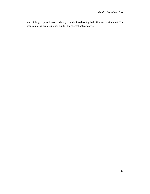man of the group, and so on endlessly. Hand-picked fruit gets the first and best market. The keenest marksmen are picked out for the sharpshooters' corps.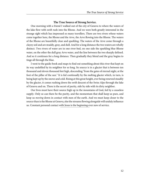#### **The True Source of Strong Service.**

<span id="page-17-0"></span>One morning with a friend I walked out of the city of Geneva to where the waters of the lake flow with swift rush into the Rhone. And we were both greatly interested in the strange sight which has impressed so many travellers. There are two rivers whose waters come together here, the Rhone and the Arve, the Arve flowing into the Rhone. The waters of the Rhone are beautifully clear and sparkling. The waters of the Arve come through a clayey soil and are muddy, gray, and dull. And for a long distance the two waters are wholly distinct. Two rivers of water are in one river-bed, on one side the sparkling blue Rhone water, on the other the dull gray Arve water, and the line between the two sharply defined. And so it continues for a long distance. Then gradually they blend and the gray begins to tinge all through the blue.

I went to the guide-book and maps to find out something about this river that kept on its way undefiled by its neighbor for so long. Its source is in a glacier that is between ten thousand and eleven thousand feet high, descending "from the gates of eternal night, at the foot of the pillar of the sun." It is fed continually by the melting glacier which, in turn, is being kept up by the snows and cold. Rising at this great height, ever being renewed steadily by the glacier, it comes rushing down the swift descent of the Swiss Alps through the lake of Geneva and on. There is the secret of purity, side by side with its dirty neighbor.

Our lives must have their source high up in the mountains of God, fed by a ceaseless supply. Only so can there be the purity, and the momentum that shall keep us pure, and keep us moving down in contact with men of the earth. And we must keep closer to the source than is the Rhone at Geneva, else the streams flowing alongside will unduly influence us. Constant personal contact with Jesus is the beginning ever new of service.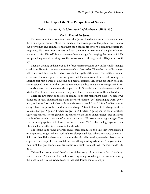#### **The Triple Life: The Perspective of Service.**

#### <span id="page-18-0"></span>**(Luke ix:1-6; x:1-3, 17; John xx:19-23; Matthew xxviii:18-20.)**

#### **On An Errand for Jesus.**

You remember there were four times that Jesus picked out a group of men, and sent them on a special errand. About the middle of the second year of His public life, He chose out twelve men and commissioned them for a special bit of work. Six months before the tragic end, He chose seventy others and sent them out in twos into all the places He was planning to visit Himself. It was a remarkable campaign for carrying the news which He was preaching into all the villages of that whole country through which His journey south lay.

Then the evening of that never-to-be-forgotten resurrection day, under wholly changed conditions, He again commissions ten men of that first twelve. Things had radically changed with Jesus. And there had been a bad break in the loyalty of these men. Two of their number are absent. Judas has gone to his own place, and Thomas was not there that evening. His absence cost him a week of doubting and mental distress. Ten of the old inner circle are commissioned anew. And then do you remember the last time they were together? It was about six weeks later, on the rounded top of the old Olives Mount, the eleven men with the Master. Four times He commissioned a group of men for some service He wanted done.

There are two things in these four commissions that make them alike. The same two things are in each. The first thing is this: they are bidden to "go." That ringing word "go ye" is in, each time. "As the Father hath sent Me even so send I you." It is a familiar word to every follower of Jesus then, and now, and always. A true follower of His always is stirred by a spirit of "go." A going Christian is a growing Christian. A going church has always been a growing church. Those ages when the church lost the vision of her Master's face on Olives, and let other sounds crowd out of her ears the sound of His voice, were stagnant ages. They are commonly spoken of in history as the dark ages. "Go" is the ringing keynote of the Christian life, whether in a man or in the church.

The second thing found always in each of these commissions is this: they were qualified, or empowered to go. Whom God calls He always qualifies. Where His voice comes His Spirit breathes. If there has come to you some bit of a call to service, to teach a class, or write a special letter, or speak a word, or take up something needing to be done. And you hesitate. You think that you cannot. You are not fit, you think, not qualified. The thing to do is to do it.

If the call is clear go ahead. Need is one of the strong calling voices of God. It is always safe to respond. Put out your foot in the answering swing, even though you cannot see clearly the place to put it *down*. God attends to that part. Power comes as we go.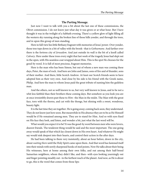#### **The Parting Message.**

<span id="page-19-0"></span>Just now I want to talk with you a bit about the last one of these commissions, the Olivet commission. I do not know just what day it was given or at what hour. But I have thought it was in the twilight of a Sabbath evening. There's a yellow glow of light filling all the western sky running along the broken line of those hills yonder, and through the trees, and in upon this group of men standing.

Here in full view lies little Bethany fragrant with memories of Jesus' power. Over yonder, those tree tops down in a bit of valley with the brook--that is Gethsemane. And farther over there is the fortress city of Jerusalem. And just outside its wall is the bit of a knoll called Calvary. Here under these trees every night that last week of the tragedy Jesus had slept out in the open, with His seamless coat wrapped about Him. This is the spot He chooses for the good-by word. It is full of most precious, fragrant memories.

Here is the man who has been Simon, but out of whom a new man was coming these days, Peter, the man of rock. And here are John and James, sons of fire and of thunder, sons of their mother. And there, little Scotch Andrew. At least our Scotch friends seem to have adopted him as their very own. And close by his side is his friend with the Greek name, Philip. And here the man to whom Jesus paid the great tribute of naming him the guileless man.

And the others, not so well known to us, but very well known to Jesus, and to be not a whit less faithful than their brothers these coming days. But somehow as you look you are at once irresistibly drawn past these to Him--the Man in the midst. The Man with the great face, torn with the thorns, and cut with the thongs, but shining with a sweet, wondrous, beauty light.

It is the last time they are together. He is going away; coming back soon, they understand. They do not know just how soon. But meanwhile in His absence they are to be as He Himself would be if He remained among men. They are to stand for Him. And so with eyes fixed on His face they look, and listen, and wonder a bit, just what the last word will be.

What would you expect it to be? It was the good-by word between men who were lovers, dearest friends. The tenderest thing would be said and the most important. The one going away would speak of that which lay closest down in His own heart. And whatever He might say would sink deepest into their hearts, and control their action in the after days.

He had been talking to them very insistently, about an hour before, down in the city, about waiting there until the Holy Spirit came upon them. And that word has fastened itself into their minds with newly sharpened hooks of steel points. Now He talks about their being His witnesses, here at home among their own folks, and out among their half-breed Samaritan neighbors, whom they didn't like, and then--with eyes looking yearningly out and finger pointing steadily out--to the farthest reach of the planet. And now, as He is about to go, this is the word that comes from those lips: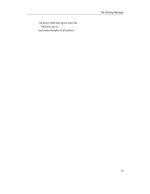"All power hath been given unto Me. Therefore go ye, And make disciples of all nations."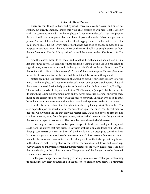#### **A Secret Life of Prayer.**

<span id="page-21-0"></span>There are four things in that good-by word. Three are directly spoken, and one is not spoken, but directly implied. First is this, your chief work is to win men. That is directly said. The second is implied--it is the toughest task you ever undertook. That is implied in this that it will take more power than they have. A power that only He has. A supernatural power. And we all know how true that is. Of all luggage man is the hardest to move. He won't move unless he will. Every man of us that has ever tried to change somebody's else purpose knows how impossible it is unless by the inward pull. You simply cannot without the man's consent. The third thing is this: I have all the power needed. The fourth this: You go.

And the Master meant to tell them, and to tell us, this: that a man should lead a triple life, three lives in one. We sometimes hear of a man leading a double life in a bad sense. In a good sense, every one of us should be living a triple life, three distinct lives in one. The first of these three lives is this: a secret life, lived with Jesus, hidden from the eyes of men. An inner life of closest contact with Him, that the outside folks know nothing about.

Notice again the four statements in that good-by word. Your chief concern is to win men. It is the toughest task you ever undertook: it will take supernatural power. I have all the power you need. Instinctively you feel as though the fourth thing should be, "I will go." That would seem to be the logical conclusion. "No," Jesus says, "you go." Plainly if we are to do something taking supernatural power, and we haven't any such power of ourselves, there must be the closest kind of contact with the source of power. The man who is to go must be in the most intimate contact with the Man who has the powers needed in the going.

And this is simply a law of all life, given to us here by life's greatest Philosopher. The seen depends upon the secret always. The outer keys upon the inner. The life that men see depends wholly upon the life that only the Master sees. David had power to slay the lion and bear in secret, away from the gaze of men, before he had power to slay the giant before the wondering eyes of two nations. The closet becomes the swivel of the street.

In crossing the ocean there are two great dangers to be dreaded and guarded against, aside from the storms that may arise. The greater of these is an abandoned ship. One that through some stress of storm has been left by the sailors in the attempt to save their lives. It is most dangerous because it sends no warning ahead of its presence. In crossing the Atlantic by the more northern routes the other danger is from the icebergs that may be met in the steamer's path. If a fog obscure the lookout the boat is slowed down, and a man kept busy with line and thermometer taking the temperature of the water. The iceberg is kindlier than the derelict, in the chill it sends out. The presence of the danger can so be detected, and measures taken to avoid it.

But the great danger here is not simply in the huge mountain of ice that you see looming up against the sky, great as that is. It is in the unseen ice. Hidden away below is a mountain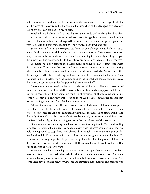of ice twice as large and heavy as that seen above the water's surface. The danger lies in the terrific force of a blow from this hidden pile that would crush the strongest steel steamer, as I might crush an egg-shell in my fingers.

We all admire the beauty of the trees that rear their heads, and send out their branches, and make the world so beautiful with their soft green foliage. But have you thought of the twin tree, the unseen tree that belongs to these we see? For every tree that grows up and out with its beauty and fruit there is another. The twin tree goes down and out.

Sometimes, as far as this we see goes  $up$ , the other goes  $down$ ; as far as the branches go out so far do the underneath branches go out, sometimes farther. This unseen tree is ever busy drawing moisture, and food from the soil and sending it, ceaselessly sending it, up to the upper tree. The beauty and fruitfulness above are because of this secret life of the tree.

I remember as a boy going to the bathroom in our home one day to draw some water. But none came. There were a few drops, and some sputtering--there's very apt to be sputtering when there is nothing else--but no flow of water. And I wondered why. Soon I found that the main pipe in the street was being fixed, and the water had been cut off at the curb. There was water in the pipe clear from the curbstone up to the spigot, but I could not get it because the reservoir connection under the ground had been turned off.

I have met some people since then that made me think of that. There is a reservoir of water, clear and sweet, with which they have had connection, and are supposed still to have. But when some thirsty body comes up for a bit of refreshment, there's some sputtering, some noise, may be a few stray drops--but no more. And folks seem thirstier because they were expecting a cool, satisfying drink that never came.

I think I know why it is so. The secret connection with the reservoir has been tampered with. There *must* be the secret contact with Jesus cultivated habitually if there is to be a sweet, strong outer life. And not cultivated by hothouse methods. Such plants won't stand the chilly air outside the glass-house. Cultivated by natural, simple contact with Jesus, over His Word, habitually, until everything comes under the influence of that secret life.

One day a man was standing on a busy downtown thoroughfare in Cleveland waiting for a car. There was a thick, dirty wire hanging down from the cross arm high up of the wire pole. He happened to stop there. And absorbed in thought, he mechanically put out his hand and took hold of the wire. Instantly a look of intense agony came into his face. His arm, and whole body began twisting and writhing. Then he fell to the ground lifeless. The dirty-looking wire had direct connections with the power-house. It was throbbing with a strong current. It was a "live" wire.

Some men who have seemed quite unattractive in the light of some modern standards have been found on touch to be charged with a life current of tremendous power. And some others, outwardly more attractive, have been found to be as powerless as a dead wire. And some there have been, and are, very winsome and attractive in themselves, and charged with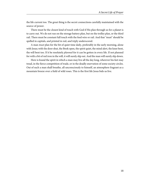the life current too. The great thing is the secret connections carefully maintained with the source of power.

There must be the closest kind of touch with God if His plan through us for a planet is to carry out. We do not run on the storage battery plan, but on the trolley plan, or the third rail. There must be constant full touch with the feed wire or rail. And that "must" should be spelled in capitals, and printed in red, and triply underscored.

A man *must* plan for the bit of quiet time daily, preferably in the early morning, alone with Jesus; with the door shut, the Book open, the spirit quiet, the mind alert, the knee bent, the will bent too. If it be resolutely *planned* for it can be gotten in every life. If not planned for with a bit of red iron in the will, it will surely slip out. And the man will surely slip down.

Here is found the spirit in which a man may live all the day long, wherever his feet may tread, in the fierce competition of trade, or in the deadly enervation of some society circles. Out of such a man shall breathe, all unconsciously to himself, an atmosphere fragrant as a mountain breeze over a field of wild roses. This is the first life Jesus bids us live.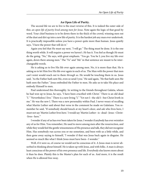#### **An Open Life of Purity.**

<span id="page-24-0"></span>The second life we are to live is the exact reverse of this. It is indeed the outer side of this: an open life of purity lived among men for Jesus. Note again the logic of that good-by word. Your chief business is to be down there in the thick of the crowd, winning men out of the dust and dirt up into a new life of purity. It is the hardest job any man ever undertook. It is practically impossible unless you have a power quite more than human. Jesus quietly says, "I have the power that will do it."

Again you feel that He must say next, "I will go." The thing must be done. It is the one thing worth while. It will require a power we haven't. He has it. You feel as though He must do the going. "No," He says, with great emphasis. "You go. You be I; you live my life over again, down there among men." The "Ye" and "Me" in that sentence are meant to be interchangeable words.

He is asking us to live His life over again among men. No, it is more than that. He is asking us to let Him live His life over again in each of us. The Man with the power that men can't resist would reach out to them *through us*. He would be touching them in us. Jesus said, "As the Father hath sent Me, even so send I you." He said again, "He that hath seen Me hath seen the Father." Jesus embodied the Father to men. He asks us to take His place and embody Himself to men.

Paul understood this thoroughly. In writing to the friends throughout Galatia, whom he had won up to Jesus, he says, "I have been crucified with Christ." There is an old dead "I." "Nevertheless I live." There is a new living "I." "Yet not I--the old I--but Christ liveth in me." He was the new I. There was a new personality within Paul. I never weary of recalling what Martin Luther said about that verse in the comment he made on Galatians. You remember he said, "If somebody should knock at my heart's door, and ask who lives here, I must not say 'Martin Luther lives here.' I would say 'Martin Luther--is--dead--Jesus--Christ- -lives--here.'"

I wonder if any of us has ever been taken for Jesus. I wonder if anybody has ever mistaken any of us for Him. You remember, He used to move among men after the resurrection, and while they would feel the gentle winsomeness of His presence and talk, they did not recognize Him. Has somebody run across you or me sometime, and been with us a little while, and then gone away saying to himself, "I wonder if that was Jesus back again in disguise. He seemed so much like what I think Jesus must have been--I wonder."

Well, if it were so, of course we would not be conscious of it. A Jesus-man is never absorbed in thinking about himself. He is taken up with Jesus, and with folks. A man is always least conscious of the power of his own presence and life. Everybody else knows more about it than he does. Plainly this is the Master's plan for each of us. And more, it is the result when He is allowed free sway.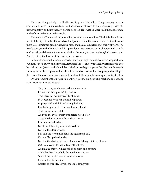The controlling principle of His life was to please His Father. The pervading purpose and passion was to win men out and up. The characteristics of His life were purity, unselfishness, sympathy, and simplicity. We are to be as He. He was the Father to all the race of men. Each of us is to be Jesus to his circle.

Please notice I'm not talking about lips just now but about lives. The life is the indorsement of the lips. It makes the words of the lips more than they sound or seem. Or, it makes them less, sometimes pitiably less, little more than a discount clerk ever busily at work. The words ever go to the level of the life, up or down. Water seeks its level persistently. So do one's words, and they find it more quickly than the water, for they go through all obstructions. And the life is the leveler of the words, up or down.

So far as this second life is concerned a man's lips might be sealed, and his tongue dumb, but his life in its purity and simplicity, its unselfishness and sympathetic warmness will ever be spelling out Jesus. And He will be spelled out so big and plain that the man hurriedly running, or lazily creeping, or half blind in a cloud of dust, will be stopping and reading. If there were but more re-incarnations of Jesus how folks would be coming a-running to Him.

Do you remember that prayer in blank verse of the old Scottish preacher and poet and saint, Horatius Bonar? He said:

> "Oh, turn me, mould me, mellow me for use. Pervade my being with Thy vital force, That this else inexpressive life of mine May become eloquent and full of power, Impregnated with life and strength divine. Put the bright torch of heaven into my hand, That I may carry it aloft And win the eye of weary wanderers here below To guide their feet into the paths of peace. I cannot raise the dead, Nor from this soil pluck precious dust, Nor bid the sleeper wake, Nor still the storm, nor bend the lightning back, Nor muffle up the thunder, Nor bid the chains fall from off creation's long enfettered limbs. But I can live a life that tells on other lives, And makes this world less full of anguish and of pain; A life that like the pebble dropped upon the sea Sends its wide circles to a hundred shores. May such a life be mine. Creator of true life, Thyself the life Thou givest,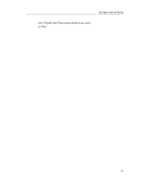Give Thyself, that Thou mayst dwell in me, and I in Thee."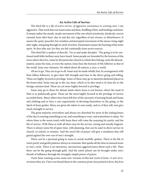#### **An Active Life of Service.**

<span id="page-27-0"></span>The third life is a life of active service, of aggressive earnestness in winning men. I say aggressive. That word does not mean noise and dust, shuffling of feet, and bustling confusion. It means rather the steady, steady movement of the sun which noiselessly, dustlessly, moves onward, hour after hour, day in and day out, regardless of any storms, or disturbances. It means the quiet, peaceful, but resistless uninterrupted movement of the moon rising night after night, and going through its circle of action. Earnestness means the burning of the inner spirit. Its fires dim not, for they are fed continually from secret sources.

This third life is spoken of directly: "Go ye and make disciples." The going is to be continued until folks farthest away have heard. Some people are bounded by the horizon of the town where they live, some by the particular church to which they belong, some the denomination, some the state, or even the nation. Jesus fixes the horizon of His follower as that of the world. Jesus was visionary. He talked about all nations, a race, a world.

All are to go. They are to go to all. Some may be made wholly free, by arrangement with their fellow-followers, to give their full strength and time to the direct going and telling. These are highly favored in privilege. Some of these may go to deserted darkened places in the home land. Some may go to the city slum, which in its dire need is of close kin to the foreign-mission land. These are yet more highly favored in privilege.

Some may go to those far distant lands where Jesus is not known, where the need of Him is so pathetically great. These are the most highly favored in the privilege of service accorded them. Many others have been left free of the necessity of earning bread and home and clothing and so have a rare opportunity of devoting themselves to the going, as the Spirit of Jesus guides. Many are given the talent to earn easily, and so, if they will, may give much strength to service.

The great majority everywhere and always are absorbed for most of the waking hours of the day in earning something to eat, and something to wear, and somewhere to sleep. Yet where there is the warm touch with Jesus there will come the yearning for purity, and the life of service. With these as with all there may be the service, strong and sweetly fragrant. There is always some bit of spare time, with planning, that can be used in direct service in church, or school, or mission. And the secret life of prayer will give a steadiness that will guard against the over-use of one's strength.

There can be a personal going to some in words tactfully spoken. There is the life of sweet purity and gentle patience always so winsome, that speaks all the time in musical tones to one's circle. There is an enormous, unconscious aggressiveness about such a life. Then there can be the going through gold. And the entire planet can be brought under one's thumb of influence through the strangely simple power of prayer.

I have been running across some new versions of this last word of Jesus. A sort of rerevisions they are. I have not found them in the common print, but printed in lives, the lives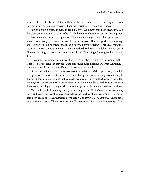of men. The print is large, chiefly capitals, easily read. These lives are so noisy as to quite shut out what the lips may be saying. There are variations in these translations.

Sometime the message is made to read like this: "All power hath been given unto Me, therefore go ye, and make--coins of gold--oh, belong to church of course--that is proper and has many advantages--and give too. There are advantages about that--give freely, or make it seem freely--give to missions at home and abroad. That is regarded as a sure sign of a liberal spirit. But be careful about the proportion of your giving. For the real thing that counts at the year's end is how much you have added to the stock of dollars in your grasp. These other things are good, but--merely incidental. This thing of getting gold is the main drive."

Please understand me, I never heard any of these folks talk in this blunt way with their tongues. So far as I can hear, they are saying something quite different. But what their tongues are saying is made indistinct and blurred by some noise near by.

Other translations I have run across have this variation: "Make a place for yourself, in your profession, in society. Make a comfortable living;--with a wide margin of meaning to that word 'comfortable'--belong to the church, become a pillar, or at least move in the pillar's circle, give of course, even freely in appearance, but remember these are the dust in the scale, the other is the thing that weighs. All of one's energies must be centered on the main thing."

May I ask you to listen very quietly, while I repeat the Master's own words over very softly and clearly, so that they may get into the inner cockles of our hearts anew? "All power hath been given unto Me; therefore go ye, and *make disciples of all nations*." These other translations are wrong. They are misleading. The one main thing is influencing men for Jesus.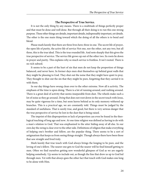#### **The Perspective of True Service.**

<span id="page-29-0"></span>It is not the only thing by any means. There is a multitude of things perfectly proper and that must be done and well done. But through all their doing is to run this one strong purpose. These other things are details, important details, indispensably important, yet details. The other is the one main thing toward which the doing of all the others is to bend and blend.

Please mark keenly that there are three lives here; three in one. The secret life of prayer, the open life of purity, the active life of service Not one, nor the other, not any two, but all three, this is the true ideal. This is the true rounded life. And note sharply that this gives the true perspective of service. The service life grows up out of the other two. Its roots lie down in prayer and purity. This explains why so much service is fruitless. It isn't rooted. There is no rich subsoil.

It seems to be a part of the hurt of sin that men do not keep the proportion of things balanced, and never have. In former days men shut themselves up behind great walls that they might be pleasing to God. They shut out the noise that they might have quiet to pray. They thought to shut out the sin that they might be pure, forgetting that they carried it in with them.

In our day things have swung clean over to the other extreme. Now all is activity. The emphasis of the time is upon doing. There is a lot of running around, and rushing around. There is a great deal of activity that seems inseparable from dust. The wheels make such a lot of noise as they go around. Doing that does not root down in the secret touch with Jesus, may be quite vigorous for a time, but soon leaves behind as its only memory withered up branches. This is a practical age, we are constantly told. Things must be judged by the standard of usefulness. That is surely true, and good, but there is very serious danger that the true perspective of service be lost in the dust that is being raised.

The imprint of this disproportion or lack of proportion can even be found in the theological teaching of long ago and now. At one time religion was defined as having to do with a man's relation to God. That was emphasized to the utter hiding away of all else. In our own day the swing is clear over to the other side. Definitions of religion that make everything of helping one's brother and fellow, are the popular thing. There seems to be a sort of astigmatism that keeps us from seeing things straight. Though always there have been those that saw straight and lived truly.

Mark keenly that true touch with God always brings the longing to be pure, and the loving of one's fellow. The nearer one gets to God the nearer will he find himself getting to men. Often we find ourselves getting new wonderful glimpses of God as we are eagerly helping somebody. Up seems to include out, as though the line that drew us up to God led through men. Yet with that always goes the other fact that touch with God makes one long to be alone with Him.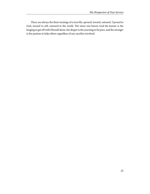There are always the three turnings of a true life, upward, inward, outward. Upward to God, inward to self, outward to the world. The more one knows God the keener is the longing to get off with Himself alone, the deeper is the yearning to be pure, and the stronger is the passion to help others regardless of any sacrifice involved.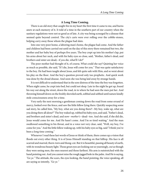#### **A Long Time Coming.**

<span id="page-31-0"></span>There is an old story that caught fire in my heart the first time it came to me, and burns anew at each memory of it. It told of a time in the southern part of our country when the sanitary regulations were not so good as of late. A city was being scourged by a disease that seemed quite beyond control. The city's carts were ever rolling over the cobble-stones, helping carry away those whom the plague had slain.

Into one very poor home, a laboring man's home, the plague had come. And the father and children had been carried out until on the day of this story there remained but two, the mother and her baby boy of perhaps five years. The boy crept up into his mother's lap, put his arms about her neck, and with his baby eyes so close, said, "Mother, father's dead, and brothers and sister are dead;--if you die, what'll I do?"

The poor mother had thought of it, of course, What could she say? Quieting her voice as much as possible, she said, "If I die, Jesus will come for you." That was quite satisfactory to the boy. He had been taught about Jesus, and felt quite safe with Him, and so went about his play on the floor. And the boy's question proved only too prophetic. And quick work was done by the dread disease. And soon she was being laid away by strange hands.

It is not difficult to understand that in the sore distress of the time the boy was forgotten. When night came, he crept into bed, but could not sleep. Late in the night he got up, found his way out along the street, down the road, in to where he had seen the men put her. And throwing himself down on the freshly shoveled earth, sobbed and sobbed until nature kindly stole consciousness away for a time.

Very early the next morning a gentleman coming down the road from some errand of mercy, looked over the fence, and saw the little fellow lying there. Quickly suspecting some sad story, he called him, "My boy, what are you doing there?--My boy, wake up, what are you doing there all alone?" The boy waked up, rubbed his baby eyes, and said, "Father's dead, and brothers and sister's dead, and now--mother's--dead--too. And she said, if she did die, Jesus would come for me. And He hasn't come. And I'm so tired waiting." And the man swallowed something in his throat, and in a voice not very clear, said, "Well, my boy, I've come for you." And the little fellow waking up, with his baby eyes so big, said "I think you've been a long time coming."

Whenever I read these last words of Jesus or think of them, there comes up a vision that floods out every other thing. It is of Jesus Himself standing on that hilltop. His face is all scarred and marred, thorn-torn and thong-cut. But it is beautiful, passing all beauty of earth, with its wondrous beauty light. Those great eyes are looking out so yearningly, out as though they were seeing men, the ones nearest and those farthest. His arm is outstretched with the hand pointing out. And you cannot miss the rough jagged hole in the palm. And He is saying, "Go ye." The attitude, the scars, the eyes looking, the hand pointing, the voice speaking, all are saying so intently, "Go ye."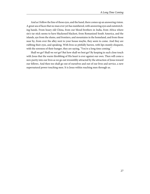And as I follow the line of those eyes, and the hand, there comes up an answering vision. A great sea of faces that no man ever yet has numbered, with answering eyes and outstretching hands. From hoary old China, from our blood-brothers in India, from Africa where sin's tar stick seems to have blackened blackest, from Romanized South America, and the islands, aye from the slums, and frontiers, and mountains in the homeland, and from those near by, from over the alley next to your house maybe, they seem to come. And they are rubbing their eyes, and speaking. With lives so pitifully barren, with lips mutely eloquent, with the soreness of their hunger, they are saying, "You're a long time coming."

Shall we go? Shall we not go? But how shall we best go? By keeping in such close touch with Jesus that the warm throbbing of His heart is ever against our own. Then will come a new purity into our lives as we go out irresistibly attracted by the attraction of Jesus toward our fellows. And then too shall go out of ourselves and out of our lives and service, a new supernatural power touching men. It is Jesus within reaching men through us.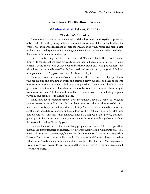#### **Yokefellows: The Rhythm of Service.**

#### **[\(Matthew xi. 25-30;](http://www.ccel.org/study/Bible:Matt.11.25-Matt.11.30) Luke x:1, 17, 21-24.)**

#### **The Master's Invitation.**

<span id="page-33-0"></span>It was about six months before the tragic end that Jesus sent out thirty-five deputations of two each. He was beginning that slow memorable journey south that ended finally at the cross. These men are sent ahead to prepare the way. By and by they return and make a glad exultant report of the good results attending their work. Even the demons had acknowledged the power of Jesus' name on their lips.

As He was listening Jesus looked up, and said, "Father, I thank Thee." And then, as though He could see those great crowds to whom they had been ministering in His name, He said, "Come unto Me, all ye that labor and are heavy laden, and I will give you rest. Take My yoke upon you, and learn of Me; for I am meek and lowly in heart; and ye shall find rest unto your souls. For My yoke is easy and My burden is light."

There are two invitations here, "come" and "take." There are two sorts of people. Those who are tugging and straining at work, and carrying heavy burdens, and then those who have received rest, and are now asked to go a step farther. There are two kinds of rest, a given rest, and a found rest. The given rest cannot be found. It comes as a sheer out gift, from Jesus' own hand. The found rest cannot be given, may I say? It comes stealing its gentle way in as one fits into Jesus' plan for his life.

Many folks have accepted the first of these invitations. They have "come" to Jesus, and received sweet rest from His hand. But they have gone no farther. At the close of that first invitation there is a punctuation period, a full stop. Some of the old schoolbooks used to say that one should stop at a period and count four. Well, a great many people have followed that old rule here, and more than followed. They have stopped at that period, and never gotten past it. I want just now to ask you to come with me as we talk together a bit about this second invitation, "Take My yoke."

Jesus used several different words in tying people up to Himself. There is a growth in them, as He draws us nearer and nearer. First always is the invitation "Come unto Me." That means salvation, life. Then He says, "Follow Me," "Come after Me." That means discipleship. "Learn of Me" means training in discipleship. "Yoke up with Me" means closest fellowship. "Abide in Me" leads one out into abundant life. "As the Father hath sent Me, even so send I you," means living Jesus' life over again. And then the last "Go ye" is the outer reach of all, service for a world.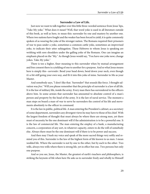#### **Surrender a Law of Life.**

<span id="page-34-0"></span>Just now we want to talk together over this little three-worded sentence from Jesus' lips, "Take My yoke." What does it mean? Well, that word yoke is used in all literature outside of this book, as well as here, to mean this: surrender by one and mastery by another one. Where two nations have fought and the weaker has been forced to yield, it is quite commonly spoken of as wearing the yoke of the stronger nation. The Romans required their prisoners of war to pass under a yoke, sometimes a common cattle yoke, sometimes an improvised yoke, to indicate their utter subjugation. These Hebrews to whom Jesus is speaking are writhing with sore shoulders under the galling yoke of the Romans. One can imagine an emphasis placed on the "My." As though Jesus would say, "You have one yoke now; change yokes. Take My yoke."

There is too a higher, finer meaning to this surrender when by mutual arrangement and free consent there is a yielding of one to another for a purpose. And so what Jesus means here is simply this--surrender. Bend your head down, bend down your neck, even though it's a bit stiff going your own way, and fit it into this yoke of mine. Surrender to Me as your Master.

And somebody says, "I don't like that. 'Surrender!' that sounds like force. I thought salvation was free." Will you please remember that the principle of surrender is a law of all life. It is the law of military life, inside the army. Every man there has surrendered to the officers above him. In some armies that surrender has amounted to absolute control of a man's person and property by the head of the army. It is the law of naval service. The moment a man steps on board a man-of-war to serve he surrenders the control of his life and movements absolutely to the officer in command.

It is the law in public, political life. A man entering the President's cabinet, as a secretary of some department, surrenders any divergent views he may have to those of his chief. With the largest freedom of thought that must always be where there are strong men, yet there must of necessity be the one dominant will if the administration is to be a powerful one. It is the law of commercial life. The man entering the employ of a bank, a manufacturing concern, a corporation of any sort, in whatever capacity, enters to do the will of somebody else. Always there must be the one dominant will if there is to be power and success.

And then may I hush my voice and speak of the more sacred things very softly and remind you of this. Surrender is the law of the highest form of life known to us men. I mean wedded life. Where the surrender is not by one to the other, but by each to the other. Two wills, always two wills where there is strong life, yet in effect but one. Two persons but only one purpose.

And so you see, Jesus, the Master, the greatest of earth's teachers and philosophers, is striking the keynote of life when here He asks us to surrender freely and wholly to Himself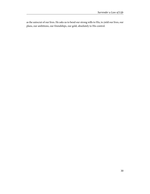as the autocrat of our lives. He asks us to bend our strong wills to His, to yield our lives, our plans, our ambitions, our friendships, our gold, absolutely to His control.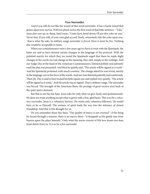# **Free Surrender.**

And if you still do not like the sound of that word surrender. It has a harsh sound that grates upon your nerves. Will you please notice the first word of that little sentence--"Take." Jesus does not say in sharp, hard tones, "Come here; bend down; I'll put this yoke on you." Never that. If you will, of your own glad accord, freely, winsomely take the yoke upon you--that is what He asks. In military usage surrender is forced. Here it must be free. Nothing else would be acceptable to Jesus.

When our commissioners went a few years ago to Paris to treat with the Spaniards, the latter are said to have desired certain changes in the language of the protocol. With the polished suavity for which they are noted the Spaniards urged that there be made slight changes in the words: no real change in the meaning, they said, simply in the verbiage. And our Judge Day at the head of the American Commissioners, listened politely and patiently until the plea was presented. And then he quietly said, "The article will be signed as it reads." And the Spaniards protested, with much courtesy. The change asked for was trivial, merely in the language, not in the force of the words. And our men listened patiently and courteously. Then Mr. Day is said to have locked his little square jaw and replied very quietly, "The article will be signed as it reads." And the article was so signed. That is military usage. The surrender was forced. The strength of the American fleets, the prestige of great victory were back of the quiet man's demand.

But that is not the law here. Jesus asks for only what we give freely and spontaneously. He does not want anything except what is given with a free, glad heart. This is to be a voluntary surrender. Jesus is a voluntary Saviour. He wants only voluntary followers. He would have us be as Himself. The oneness of spirit leads the way into the intimacy of closest friendship. And that is His thought for us.

Do you remember those fine lines, "The quality of mercy is not *strained*"--if the thing be forced through a strainer, there is no mercy there--"it droppeth as the gentle rain from heaven upon the place beneath." Only what the warm current of His love draws out does Jesus desire from us. It is to be a free surrender.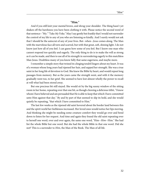#### **"Him."**

And if you still knit your mental brows, and shrug your shoulder. The thing hasn't yet shaken off the harshness you have been clothing it with. Please notice the second word of that sentence--"My." "Take  $My$  Yoke." May I say gently but frankly that I would not surrender the control of my life to any of you who are listening so kindly. And I surely would not ask that I should be the autocrat of any of your lives. But--when--Jesus comes along. The Man with the marvelous face all torn and scarred, but with that great, soft, shining light. I do not know just how all of you feel. I can guess how some of you feel. But I know one man who cannot respond too quickly and eagerly. The only thing to do is to make the will as strong as it can be made, and then to use all of its strength in surrendering eagerly to this matchless Man Jesus. Doubtless many of you know fully that same eagerness, and maybe more.

I remember a simple story that twined its clinging tendril lingers about my heart. It was of a woman whose long years had ripened her hair, and sapped her strength. She was a true saint in her long life of devotion to God. She knew the Bible by heart, and would repeat long passages from memory. But as the years came the strength went, and with it the memory gradually went too, to her grief. She seemed to have lost almost wholly the power to recall at will what had been stored away.

But one precious bit still stayed. She would sit by the big sunny window of the sitting room in her home, repeating over that one bit, as though chewing a delicious titbit, "I know whom I have believed and am persuaded that He is able to keep that which I have committed unto Him against that day." By and by part of that seemed to slip its hold, and she would quietly be repeating, "that which I have committed to Him."

The last few weeks as the ripened old saint hovered about the border land between this and the spirit world her feebleness increased. Her loved ones would notice her lips moving. And thinking she might be needing some creature comfort they would go over and bend down to listen for her request. And time and again they found the old saint repeating over to herself one word, over and over again, the same one word, "Him--Him--Him." She had list the whole Bible but one word. But she had the whole Bible in that one word. Did she not? This is a surrender to Him, the Man of the Book. The Man of all life.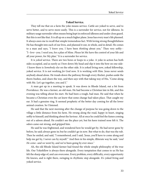# **Yoked Service.**

They tell me that on a farm the yoke means service. Cattle are yoked to serve, and to serve better, and to serve more easily. This is a surrender for service, not for idleness. In military usage surrender often means being kept in enforced idleness and under close guard. But this is not like that. It is all up on a much higher plane. Jesus has every man's life planned. It always awes me to recall that simple tremendous fact. With loving strong thoughtfulness He has thought into each of our lives, and planned it out, in whole, and in detail. He comes to a man and says, "I know you. I have been thinking about you." Then very softly-- "I--love--you. I need you, for a plan of Mine. Please let Me have the control of your life and all your power, for My plan." It is a surrender for service.

It is yoked service. There are two bows or loops to a yoke. A yoke in action has both sides occupied, and as surely as I bow down My head and slip it into the bow on one side- -I know there is *Somebody else* on the other side. It is yoked living now, yoked fellowship, yoked service. It is not working for God now. It is working with Him. Jesus never sends anybody ahead alone. He treads down the pathway through every thicket, pushes aside the thorn-bushes, and clears the way, and then says with that taking way of His, "Come along with Me. Let's go together, you and I."

A man got up in a meeting to speak. It was down in Rhode Island, out a bit from Providence. He was a farmer, an old man. He had become a Christian late in life, and this evening was telling about his start. He had been a rough, bad man. He said that when he became a Christian even the cat knew that some change had taken place. That caught my ear. It had a genuine ring. It seemed prophetic of the better day coming for all the lower animal creation. So I listened.

He said that the next morning after the change of purpose he was going down to the village a little distance from his farm. He swung along the road, happy in heart, singing softly to himself, and thinking about the Saviour. All at once he could feel the fumes coming out of a saloon ahead. He couldn't see the place yet, but his keen trained nose felt it. The odors came out strong, and gripped him.

He said he was frightened, and wondered how he would get by. He had never gone by before, he said; always gone in; but he couldn't go in now. But what to do, that was the rub. Then he smiled, and said, "I remembered, and I said, 'Jesus, you'll have to come along and help me get by, I never can by myself." And then in his simple, illiterate way he said, "and He come--and we went by, and we've been going by ever since."

Ah, the old Rhode Island farmer had found the whole simple philosophy of the true life. Our Yokefellow is always there alongside. Every temptation that comes to us He has felt the sharp edge of, and can overcome. Every problem, every difficulty, every opportunity He knows, and is right there, swinging in rhythmic step alongside. It's yoked living and yoked service.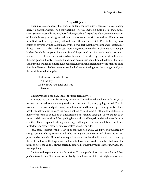### **In Step with Jesus.**

Then please mark keenly that this surrender is for *surrendered* service. No free-lancing here. No guerrilla warfare, no bushwhacking. There seems to be quite a lot of that, in this army. Some earnest folks are very busy "helping God out," regardless of the general movement of the whole army. And a great help they are too--they think. It would be difficult to see how God would ever get along without them--they *seem* to think. Poor folks, they have gotten so covered with the dust made by their own feet that they've completely lost track of things. There is a Lord to this harvest. There is a great Commander-in-chief to this campaign. He has the whole campaign for a world carefully planned out. And each man's part in it is planned too. He knows best what needs to be done. He sees keenly the strategic points, and the emergencies. If only He could but depend on our ears being trained to know His voice, and our wills trained to simple, full obedience, how much difference it would make to Him. Simple, full strong obedience seems to take the keenest intelligence, the strongest will, and the most thorough discipline.

> "Just to ask Him what to do, All the day. And to make you quick and true To obey."<sup>3</sup>

This surrender is for glad, obedient surrendered service.

And note too that it is for *training* in service. They tell me that where cattle are yoked for work it is usual to put a young restive beast with an old, steady-going animal. The old worker sets the pace, and pulls evenly, steadily ahead, and by and by the young undisciplined beast gradually comes to learn the pace. That seems to fit in here with graphic realness. So many of us seem to be full of an undisciplined unseasoned strength. There are apt to be some hard drives ahead, and then pulling back with a sudden jerk, and side lunges this way and that. There is splendid strength, and eager willingness, but not much is accomplished for lack of the steady, steady going regardless of rocks or ruts.

Jesus says, "Yoke up with Me. Let's pull together, you and I." And if we will pull steadily along, content to be by His side, and to be hearing His quiet voice, and *always to keep His* pace, step by step with Him, without regard to seeing results, all will be well, and by and by the best results and the largest will be found to have come. And remember that as on the farm, so here, the yoke is always carefully adjusted so that the young learner may have the easier pulling.

But it is well to put in this bit of a caution. If a man put his head into the yoke, and then pull back--well, there'll be a man with a badly chafed, sore neck in that neighborhood, and

<sup>3</sup> Frances Ridley Havergal.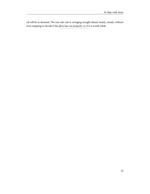oil will be in demand. The one safe rule is swinging straight ahead, steady, steady, without even stopping to decide if the plow has cut properly, or if it is worth while.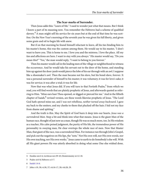## **The Scar-marks of Surrender.**

Then Jesus adds this: "Learn of Me." I used to wonder just what that means. But I think I know a part of its meaning now. You remember the Hebrews had a scheme of qualified slavery.<sup>4</sup> A man might sell his service for six years but at the end of that time he was scotfree. On the New Year's morning of the seventh year he was given his full liberty, and given some grain and oil to begin life with anew.

But if on that morning he found himself reluctant to leave, all his ties binding him to his master's home, this was the custom among them. He would say to his master, "I don't want to leave you. This is home to me. I love you and the mistress. I love the place. All my ties and affections are here. I want to stay with you always." His master would say, "Do you mean this?" "Yes," the man would reply, "I want to belong to you forever."

Then his master would call in the leading men of the village or neighborhood to witness the occurrence. And he would take his servant out to the door of the home, and standing him up against the door-jamb would pierce the lobe of his ear through with an awl. I suppose like a shoemaker's awl. Then the man became not his slave, but his bond-slave, forever. It was a personal surrender of himself to his master; it was voluntary; it was for love's sake; it was for service; it was after a trial; it was for life.

Now that was what Jesus did. If you will turn to that Fortieth Psalm,<sup>5</sup> from which we read, you will find words that are plainly prophetic of Jesus, and afterwards quoted as referring to Him. "Mine ears hast Thou opened, or digged or pierced for me." And in the fiftieth chapter of Isaiah, $^6$  revised version, are these words likewise prophetic of Jesus. "The Lord God hath opened mine ear, and I was not rebellious, neither turned away backward. I gave my back to the smiters, and my cheeks to them that plucked off the hair; I hid not my face from shame and spitting."

And the truth is this. May the Spirit of God burn it deep into our hearts. Jesus was a surrendered Man. Stop a bit and think into what that means. Jesus is the giant Man of the human race, thought of just now as a man, though He was so much more, too. In His wisdom as a teacher, His calm poised judgment, the purity of His life, the tremendous power of His personality in swaying man, He clear overtops the whole race of men. Now that Master Man, that giant of the race, was a surrendered Man. For instance run through John's Gospel, and pick out the negatives on His lips, the "nots." Not His own will, nor His own words, nor His own teaching, nor His own works. $^7$  Jesus came to earth to do Somebody's else will. With all His giant powers He was utterly absorbed in doing what some One else wished done.

<sup>4</sup> Exodus xxi:2-6, Leviticus xxv:39-43; Deuteronomy xv:12-18.

<sup>5</sup> Psalm xi:6-8; Hebrews x:5-7.

<sup>6</sup> [Isaiah 1:4-6](http://www.ccel.org/study/Bible:Isa.1.4-Isa.1.6).

<sup>7</sup> John v:19, 30; vi:38, 57; vii:16-17, 28; viii:28, 29.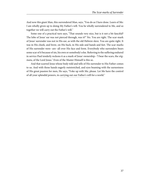And now this giant Man, this surrendered Man, says, "You do as I have done. Learn of Me: I am wholly given up to doing My Father's will. You be wholly surrendered to Me, and so together we will carry out the Father's will."

Some one of a practical turn says, "That sounds very nice, but is it not a bit fanciful? The lobe of Jesus' ear was not pierced through, was it?" No. You are right. The scar-mark of Jesus' surrender was not in His ear, as with the old Hebrew slave. You are quite right. It was in His cheek, and brow, on His back, in His side and hands and feet. The scar-marks of His surrender were--are--all over His face and form. Everybody who surrenders bears some scar of it because of sin, his own or somebody's else. Referring to the suffering endured in service Paul tenderly reckons it as a mark of Jesus' ownership--"I bear the scars, the stigmata, of the Lord Jesus." Even of the Master Himself is this so.

And that scarred Jesus whose body told and tells of His surrender to His Father comes to us. And with those hands eagerly outstretched, and eyes beaming with the earnestness of His great passion for men, He says, "Yoke up with Me, please. Let Me have the control of all your splendid powers, in carrying out our Father's will for a world."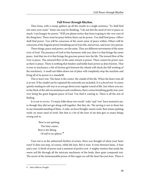### **Full Power through Rhythm.**

Then Jesus, with a sweep, gathers up all the results in a single sentence, "Ye shall find rest unto your souls." Some one may be thinking, "I do not feel the need of rest or peace so much. I am hungry for power." Will you please notice that Jesus is going to the very root of the thing here. There must be peace before there can be power. You shall find peace. Others shall find power. You will be conscious of the sweet sense of peace within. Others will be conscious of the fragrant power breathing out of your life, and service, and your very person.

These things, peace and power, are the same. They are different movements of the same river of God. The presence of God in fine harmony with you, that it is that brings the sweet peace. And that too it is that brings the gracious power into the life. The inward flow of the river is peace. The outward flow of the same stream is power. There cannot be power save as there is peace. There is nothing that hinders and holds back power as does friction. That is true in mechanics: a bit of friction grit between the wheels will check the full working of the machinery. A small nut fallen down out of place will completely stop the machine and bring all of its power to a standstill.

This is *heart* rest. The heart is the center, the citadel of the life. When the heart rests all is at rest. If the citadel can be captured the outworks are included. It is a *found* rest. It comes quietly stealing its soft way in as you go about your regular round of life. Just where you are, in the thick of the old circumstances and conditions, there comes breathing gently into your very being the great fragrant peace of God. You find it coming in. There is all the zest of finding.

It is rest in service. To many folks those two words "yoke" and "rest" have seemed to jar, as though they did not get along well together. But they do. The jarring is not in them but in our misunderstanding of them. A yoke, we have thought, means work. Rest means quitting work; no more need of work. But that is a bit of the hurt of sin that gets so many things wrong end to.

> "Rest is not quitting The busy career; Rest is the fitting Of self to its sphere."<sup>8</sup>

True rest is in the unhurried rhythm of action. Have you thought of when your heart rests? It does not stop, of course, while life lasts. But it rests. It rests between beats. A beat and a rest. A throb of power and a moment of perfect rest. A mighty motion that sends the warm red life through all the intricate machinery of the body; then quiet composed rest. The secret of the immeasurable power of this organ we call the heart lies just here. There is

<sup>8</sup> John Sullivan Dwight.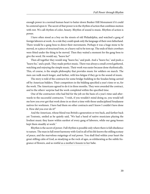enough power in a normal human heart to batter down Bunker Hill Monument if it could be centered upon it. The secret of that power is in the rhythm of action that combines motion with rest. We call rhythm of color, beauty. Rhythm of sound is music. Rhythm of action is power.

I have often stood as a boy on the streets of old Philadelphia, and watched a gang of foreign laborers at work. As a rule they could speak only the language of their own fatherland. There would be a gang-boss to direct their movements. Perhaps it was a huge stone to be moved, or a piece of structural iron, or a heavy rail to be torn up. The ends of their crowbars were fitted under the thing to be moved. Then they waited a moment for the gang-boss to give the word. He would say, "heave ho!"

Then all together they would sing "heave ho," and push. And a "heave ho," and push; a "heave ho," and a push. They made perfect music. There was always a small crowd gathered, watching and enjoying the simple music. Their work was easier because done rhythmically. This, of course, is the simple philosophy that provides music for soldiers on march. The men can walk much longer, and farther, with less fatigue if they go to the sound of music.

The story is told of the contracts for some bridge-building in the Soudan being carried off by American bidders. Their competitors in the bidding specified a year's time or so, for the work. The Americans agreed to do it in three months. They were awarded the contract, and to the others' surprise had the work completed within the specified time.

One of the contractors who had bid for the job on the basis of a year's time said afterwards to the successful contractor, "I wish, if you wouldn't mind doing so, you would tell me how you ever got that work done in so short a time with those undisciplined Soudanese natives for workmen. I have had them on other contracts and I know I couldn't have done it. How did you ever do it?"

And the American, whose blood was British a generation or two back, and farther back yet Teutonic, smiled as he quietly said, "We had a band of native musicians playing the liveliest music they knew within earshot of every gang of laborers, while our gang-bosses kept them steadily at work."

Rhythm is the secret of power. Full rhythm is possible only where there is full obedience to nature. The man in full sweet harmony with God in all of his life knows the stilling ecstasy of peace, and the marvelous outgoings of real power. You shall find within your heart the great stilling calm of God, as steadying as the rock of ages, as exhilarating as the subtle fragrance of flowers, and as restful as a mother's bosom to her babe.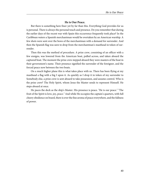# **He is Our Peace.**

But there is something here finer yet by far than this. Everything God provides for us is personal. There is always the personal touch and presence. Do you remember that during the earlier days of the recent war with Spain this occurrence frequently took place? In the Caribbean waters a Spanish merchantman would be overtaken by an American warship. A few shots were sent over the bows of the merchantman with a demand for surrender. And then the Spanish flag was seen to drop from the merchantman's masthead in token of surrender.

Then this was the method of procedure. A prize crew, consisting of an officer with a few ensigns, was lowered from the American boat, pulled across, and taken aboard the captured boat. The moment the prize crew stepped aboard they were masters of the boat in their government's name. Their presence signified the surrender of the foreigner, and the forced peace now between the two boats.

On a much higher plane this is what takes place with us. There has been flying at my masthead a flag with a big I upon it. As quickly as I drop it in token of my surrender to Somebody else, a prize crew is sent aboard to take possession, and assume control. Who is the prize crew? The Holy Spirit, whom Jesus the Master sends to represent Himself. He steps aboard at once.

He paces the deck as the ship's Master. His presence is peace. "He is our peace." "The fruit of the Spirit is love, joy, peace." And while He occupies the captain's quarters, with full cheery obedience on board, there is ever the fine aroma of peace everywhere, and the fullness of power.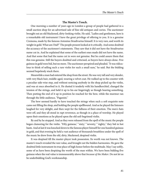# **The Master's Touch.**

One morning a number of years ago in London a group of people had gathered in a small auction shop for an advertised sale of fine old antiques and curios. The auctioneer brought out an old blackened, dirty-looking violin. He said, "Ladies and gentlemen, here is a remarkable old instrument I have the great privilege of offering to you. It is a genuine Cremona, made by the famous Antonius Stradivarius himself. It is very rare, and worth its weight in gold. What am I bid?" The people present looked at it critically. And some doubted the accuracy of the auctioneer's statements. They saw that it did not have the Stradivarius name cut in. And he explained that some of the earliest ones made did not have the name. And that some that had the name cut in were not genuine. But he could assure them that this was genuine. Still the buyers doubted and criticised, as buyers have always done. Five guineas in gold were bid, but no more. The auctioneer perspired and pleaded. "It was ridiculous to think of selling such a rare violin for such a small sum," he said. But the bidding seemed hopelessly stuck there.

Meanwhile a man had entered the shop from the street. He was very tall and very slender, with very black hair, middle-aged, wearing a velvet coat. He walked up to the counter with a peculiar side-wise step, and without noticing anybody in the shop picked up the violin, and was at once absorbed in it. He dusted it tenderly with his handkerchief, changed the tension of the strings, and held it up to his ear lingeringly as though hearing something. Then putting the end of it up in position he reached for the bow, while the murmur ran through the little audience, "Paganini."

The bow seemed hardly to have touched the strings when such a soft exquisite note came out filling the shop, and holding the people spellbound. And as he played the listeners laughed for very delight, and then wept for the fullness of their emotion. The men's hats were off, and they all stood in rapt reverence, as though in a place of worship. He played upon their emotions as he played upon the old soil-begrimed violin.

By and by he stopped. And as they were released from the spell of the music the people began clamoring for the violin. "Fifty guineas," "sixty," "seventy," "eighty," they bid in hot haste. And at last it was knocked down to the famous player himself for one hundred guineas in gold, and that evening he held a vast audience of thousands breathless under the spell of the music he drew from the old, dirty, blackened, despised violin.

It was despised till the master-player took possession. Its worth was not known. The master's touch revealed the rare value, and brought out the hidden harmonies. He gave the doubted little instrument its true place of high honor before the multitude. May I say softly, some of us have been despising the worth of the man within. We have been bidding five guineas when the real value is immeasurably above that *because of the Maker*. Do not let us be underbidding God's workmanship.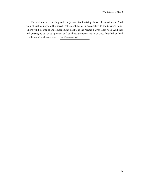The violin needed dusting, and readjustment of its strings before the music came. Shall we not each of us yield this rarest instrument, his own personality, to the Master's hand? There will be some changes needed, no doubt, as the Master-player takes hold. And then will go singing out of our persons and our lives, the rarest music of God, that shall enthrall and bring all within earshot to the Master-musician.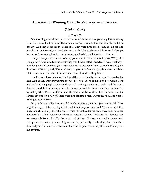# **A Passion for Winning Men: The Motive-power of Service.**

## **(Mark vi:30-34.)**

#### **A Day off.**

One morning toward the end, in the midst of His busiest campaigning, Jesus was very tired. It is one of the touches of His humanness. So He said to His disciples, "Let us take a day *off.*" And they could see the sense of it. They were tired too. So they got a boat, and boarded her, and set sail, and headed out across the lake. And meanwhile a crowd of people had come down to the beach to be talked to, and healed, and helped in various ways.

And you can just see the look of disappointment in their faces as they say, "Why, He's going away." And for a few moments they stand there utterly dejected. Then somebody- for a long while I have thought it was a woman--somebody with eyes keenly watching the direction of the boat, said, "I believe He's going so and so"--naming a place across the lake- -"let's run around the head of the lake, and meet Him when He gets out."

And the crowd was taken with that. And they ran--literally ran--around the head of the lake. And as they went they spread the word, "The Master's going so and so. Come along with us." And the people came eagerly out of the villages and cross-roads. And the crowd thickened and the longer way around in distance proved the shorter way there in time. For by and by when Peter ran the nose of the boat into the sand on the other side, and the Master got out for a day off, there were five thousand men, maybe ten thousand people waiting to receive Him.

Do you think that Peter scrooged down his eyebrows, and in a jerky voice said, "They might have given Him one day to Himself. Can't they see He's tired?" Do you think that likely John chimed in, with that fire in his voice which the after years mellowed and sweetened but never lost,--"Yes, how inconsiderate a crowd is!" Do you think so? I do. Because they were so much like us. But He--the most tired of them all--"was moved with compassion," and spent the whole day in teaching, and talking personally, and healing. And then when they had gone He went off to the mountain for the quiet time at night He could not get in the daytime.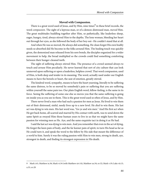#### **Moved with Compassion.**

There is a great word used of Jesus, and by Him, nine times $^9$  in these brief records, the word *compassion*. The sight of a leprous man, or of a demon-distressed man, *moved* Him. The great multitudes huddling together after Him, so pathetically, like leaderless sheep, eager, hungry, tired, always stirred Him to the depths. The lone woman, bleeding her heart out through her eyes, as she followed the body of her boy out--He couldn't stand that at all.

And when He was so moved, He always did something. He clean forgot His own bodily needs so absorbed did He become in the folks around Him. The healing touch was quickly given, the demonized man released from his sore bonds, the disciples organized for a wider movement to help, the bread multiplied so the crowds could find something comforting between their hunger-cleaned teeth.

The sight of suffering always stirred Him. The presence of a crowd seemed always to touch and arouse Him peculiarly. He never learned that sort of city culture that can look unmoved upon suffering or upon a leaderless, helpless crowd. That word compassion, used of Him, is both deep and tender in its meaning. The word, actually used under our English means to have the bowels or heart, the seat of emotion, greatly stirred.

The kindred word, sympathy, means to have the heart yearning, literally to be suffering the same distress, to be so moved by somebody's pain or suffering that you are suffering within yourself the same pain too. Our plain English word, fellow-feeling, is the same in its force. Seeing the suffering of some one else so moves you that the same suffering is going on inside you as you see in them. This is the great word used so often of Jesus, and by Him.

There never lived a man who had such a passion for men as Jesus. He lived to win them out of their distressed, sinful, needy lives up to a new level. He died to win them. His last act was dying to win men. His last word was, "Go ye and win men." And His first act when He got back home, all scarred and marred by His contact with earth, was to send down the same Spirit as swayed Him those human years to live in us that we might have the same passion for winning men as He. Aye, and the same exquisite tact in doing it as He had.

I said the last act was dying to win men. And you remember that even in the act of dying, He forgot the keen pain of body, and the far keener pain of spirit, to turn His head as far as He could turn it, and speak the word to the fellow by His side that meant the difference of a world to him. Surely it was the ruling passion with Him to win men, strong in death, aye, strongest in death, and finding its strongest expression in His death.

<sup>9</sup> Mark i:41; Matthew ix:36; Mark vi:34 (with Matthew xiv:14); Matthew xx:34; xv:32; Mark v:19; Luke vii:13; x:33; xv:20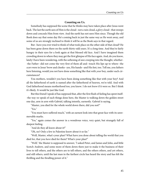## **Counting on Us.**

Somebody has supposed the scene that he thinks may have taken place after Jesus went back. The last the earth sees of Him is the cloud--not a rain cloud, a *glory* cloud--that sweeps down and conceals Him from view. And the earth has not seen Him since. Though the old Book does say that some day He's coming back in just the same way as He went away, and some of us are strongly inclined to think it will be as the Book says in that regard.

But--have you ever tried to think of what took place on the other side of that cloud? He has been gone down there on the earth thirty-odd years. It's a long time. And they're fairly hungry in their eyes for a look again at that blessed old face. And I have imagined them crowding down to where they may get the first glimpse of His face again. And, do you know, lately I have been wondering, with the softening of awe creeping into the thought, whether- -the Father--did not come the very first of them all and--touch His lips up to where--the scars were in Jesus' brow and cheeks--yes, His hands--and His feet, too. Tell me, you fathers here listening, would you not have done something like that with your boy, under such circumstances?

You mothers, wouldn't you have been doing something like that with your boy? And all the fatherhood of earth is named after the fatherhood of heaven, we're told. And with God fatherhood means motherhood too, you know. I do not know if it were so. But I think it's likely. It would be just like God.

But this friend I speak of has supposed that, after the first flush of feeling has spent itself- -the way we speak of such things done here, the Master is walking down the golden street one day, arm in arm with Gabriel, talking intently, earnestly. Gabriel is saying,

"Master, you died for the whole world down there, did you not?"

"Yes."

"You must have suffered much," with an earnest look into that great face with its unremovable marks.

"Yes," again comes the answer in a wondrous voice, very quiet, but strangely full of deepest feeling.

"And do they all know about it?"

"Oh, no! Only a few in Palestine know about it so far."

"Well, Master, what's your plan? What have you done about telling the world that you died for, that you have died for them? What's your plan?"

"Well," the Master is supposed to answer, "I asked Peter, and James and John, and little Scotch Andrew, and some more of them down there just to make it the business of their lives to tell others, and the others are to tell others, and the others others, and yet others, and still others, until the last man in the farthest circle has heard the story and has felt the thrilling and the thralling power of it."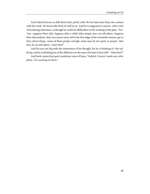And Gabriel knows us folk down here pretty well. He has had more than one contact with the earth. He knows the kind of stuff in us. And he is supposed to answer, with a sort of hesitating reluctance, as though he could see difficulties in the working of the plan, "Yes- -but--suppose Peter fails. Suppose after a while John simply does not tell others. Suppose their descendants, their successors away off in the first edge of the twentieth century, get so busy about things--some of them proper enough, some may be not quite so proper--that they do not tell others--what then?"

And his eyes are big with the intenseness of his thought, for he is thinking of--the suffering, and he is thinking too of the difference to the man who hasn't been told--"what then?"

And back comes that quiet wondrous voice of Jesus, "Gabriel, I haven't made any other plans--I'm counting on them."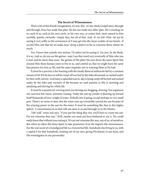#### **The Secret of Winsomeness.**

That's a bit of this friend's imagination, it's true. But--it's the whole Gospel story, through and through. Jesus has made that plan. He has not made any other plan. He's counting on us, each of us, each in his own circle, in his own way, as comes best, most natural to him tactfully, quietly, earnestly--simply that, but all of that. And--if--we fail--Him--let me be saying it very softly so the seriousness of it may get into the inner cockles of our hearts--if we fail Him, just that far we make Jesus' dying a failure so far as concerns those whom we touch.

Yes, I know that sounds very serious. I'd rather not be saying it. I'm sure, by the Book, it is so. And so, do you see the genius--may I use that word very reverently of Him who was a man and far more than man--the genius of His plan? He sent down the same Spirit that swayed Him those human years to live in us, and control us, that we might have the same fine passion for men as He, and the same exquisite tact in winning them as He had.

It must be a *passion*; a fire burning with the steady flame of anthracite fed by a constant stream of oil. If it be less we will be swept off our feet by the tides all around, or sucked under by their swift current. And many a splendid man to-day is being swept off his feet and sucked under by the tides and currents of life because no such passion as this is mooring and steadying and driving his whole life.

It must be a passion for winning men; not driving nor dragging, drawing. Not argument nor coercion but warm, winsome wooing. Today the sun up yonder is drawing up toward itself thousands of tons' weight of water. Nobody sees it going, except perhaps in very small part. There's no noise or dust. But the water rises up irresistibly toward the sun because of the winning power in the sun for the water. It must be something like that in this higher sphere. A winsomeness in us that will win men to us and through us to the Master.

"Oh! well," some one says, "if you put the thing that way you'll have to count me out. I'm not winsome that way." Well, maybe you need not have bothered to say it. We could easily know that without your saying it. We are not winsome this way, any of us, of ourselves. But when we allow this Jesus Spirit to take possession of us He imparts His winsomeness. For the real secret of a transfigured life is a *transmitted* life. Somebody else living in us, with a capital S for that Somebody, looking out of our eyes, giving His beauty to our faces, and His winningness to our personality.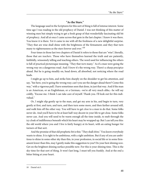# **"As the Stars."**

The language used in the Scriptures for this sort of thing is full of intense interest. Some time ago I was reading in the old prophecy of Daniel. I was not thinking of this matter of winning men but simply trying to get a fresh grasp of that wonderfully fascinating old bit of prophecy. And all at once I came across that gem in the last chapter. I knew it was there. You know it is there. Yet it came to me with all the freshness of a new delightful surprise. "They that are wise shall shine with the brightness of the firmament; and they that turn many to righteousness as the stars forever and ever."<sup>10</sup>

Four times in those last two chapters of Daniel it refers to those that are "wise"; literally, those that are *teachers*. Those who have themselves learned the truth and are patiently, faithfully, winsomely telling and teaching others. The word used for influencing the others is full of practical picturesque meaning. "They that turn many." As if a man were going the wrong way on a dangerous road. And I know it's the wrong way. There's a sharp precipice ahead. But he is going steadily on, head down, all absorbed, not noticing where the road leads.

I might go up to him, and strike him sharply on the shoulder to get his attention, and say, "See here, you're going the wrong way; can't you see the danger ahead there? Come this way," with a vigorous pull. I have sometimes seen that done, in just that way. And if the man is an American, or an Englishman, or a German,--we're all very much alike,--he will say coldly, "Excuse me. I think I can take care of myself. Thank you. I'll look out for this individual."

Or, I might slip gently up to the man, and get my arm in his, and begin to turn, very gently at first, and turn, and turn, and then turn some more, and then farther around still, and walk him off the other way. You will have to get *close* to a man to do that. Some folks never do. And you'll have to be at least half-way decent in your life to get close. Some folks never can. And you will need to be warm enough all the time inside, to melt through the icy cloak of indifference beneath which his heart may be wrapped up. But I can tell you this: the old world where you and I live is fairly hungry at its heart, with an eating hunger for turners of that sort.

And the promise of that old prophetic bit is this: "They shall *shine*." You know everybody wants to shine. It is right to be ambitious, with a right ambition. But if any of you are ambitious to shine in some other sky than this, in your profession, in social life or in some firmament lower than this, may I gently make this suggestion to you? Do your best shining now. Get on the brightest shining surface possible now. For this is your shining time. This is the sky-time for that sort of thing. It won't last long, I must tell you frankly. And at the end a bitter biting at your heart.

<sup>10</sup> Daniel xii:3.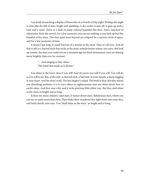I am fond of watching a display of fireworks on a Fourth of July night. Perhaps the night is clear, the sky full of stars, bright and sparkling. A sky rocket is sent off. It goes up with a rush and a noise. There is a dash of many colored beautiful fire-stars. And a murmur of admiration from the crowd. For a few moments you can see nothing as you look up but this handful of fire-stars. The clear quiet stars beyond are eclipsed for a narrow circle of space, and for a few moments of time.

It doesn't last long. A small fraction of a minute at the most. Then it's all over. And all that is left is a charred stick that sticks in the mud, nobody knows where, nor cares. But look up yonder, the stars you could not see a moment ago for these momentary ones are shining more brightly than ever by contrast,

> "... And singing as they shine. The hand that made us is divine."

You shine in the lower skies if you will. And of course you will if you will. You will do as you will to do. But, at the end--a charred stick, a bad taste in your mouth, a sharp tugging at your heart. And the story's told. The last chapter's ended. The book is shut. But they whose one absorbing ambition it is to turn others to righteousness may not shine much here in earth's skies. And they may a bit, and it recks precious little either way. But they shall shine as the stars, as bright and as long.

It does not mean Atlantic coast stars. It means desert stars, Babylonian stars, where one can see so many more than here. They shake their wondrous fire-light down into your face, and fairly dazzle your eyes. You "shall shine as the stars," as bright and as long.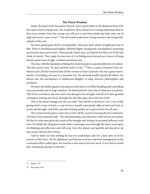# **The Finest Wisdom.**

James, the head of the Jerusalem Church, closes up his letter to the dispersed Jews with this same word as Daniel uses. He would have all to whom he is writing understand that he that turns another from the wrong way will save a soul from death and hide away out of sight and reach a mass of sin.<sup>11</sup> The old world needs more saving societies and saving individuals of this sort.

We have gotten great skill in saving dollars. Men give their whole strength and time to that. There is something much higher, infinitely higher, saving souls, rescuing lives, treasuring up precious men and women. These people, James says, are famous for their use of the fine cloak of charity. They make the best use of it in hiding away beyond any chance of being found a great mass of ugly, crooked, poisonous sins.

The man with the reputation of being the wisest man gives a special definition of wisdom. The old version runs, "he that winneth souls is wise."<sup>12</sup> This is a great statement from Solomon's pen. He had searched into all the avenues of men's pursuits. He was a great experimenter. Everything was put to a personal test. He amassed wealth beyond all others. He delved into the fascinations of intellectual delights, of deep intricate philosophies and problems.

He knew the subtle appeal to strong men that there is in deftly handling and controlling men, personally and in large numbers. He had tasted the rich wines of pleasure as had few. This is his conclusion: the wise man is he that gives his strength with all of its fine-grained cunning to wooing men back, through the old Eden gate, up to the tree of life.

This is the finest fruitage any life can yield. This will be to the bearer of it a tree of life giving twelve crops of fruits, a crop of every month, a perennial, alike in heat and frost, in storm and drought, and with a peculiar healing quality in its green leaves for all men.

The revised version gives a fine turn to this old bit, exactly reversing the first statement. "He that is wise winneth souls." The old philosopher says that here is the real test of wisdom. He that is a wise man gives the cream of his thought and wisdom to personal influence with men. He thinks the thing best worth while is drawing a man through the inner reach upon his thinking and affections and will away from the impure and ignoble and deceptive up into touch with his first Friend.

And he finds too that nothing he has ever undertaken calls for a finer play of all his powers at their best. All the diplomacy and fineness and tact and keen management at his command will be called upon. He must be a wise man to do such work. It is no fool's errand this. It demands the best in the best.

<sup>11</sup> James v:19.

<sup>12</sup> Proverbs xi:30.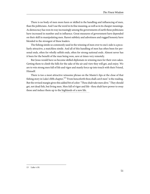There is no body of men more keen or skilled in the handling and influencing of men, than the politicians. And I use the word in its fine meaning, as well as in its cheaper meanings. As democracy has won its way increasingly among the governments of earth these politicians have increased in number and in influence. Great measures of government have depended on their skill in manipulating men. Rarest subtlety and adroitness and rugged honesty have blended in the strongest of these leaders.

The fishing simile so commonly used in the winning of men over to one's side is a peculiarly attractive, a matchless simile. And all of this handling of men has often been for personal ends, often for wholly selfish ends, often for strong national ends. Almost never has it been for the benefit of the man being won, save at times very remotely.

But Jesus would have us become skilled diplomats in winning men for their own sakes. Getting them to climb the hills for the sake of the air and view they will get, and enjoy. We are to win strong men full of life and vigor and manly force up into touch with their Friend, Himself.

There is too a most attractive winsome phrase on the Master's lips at the close of that fishing story in Luke's fifth chapter,  $13$  "From henceforth thou shall *catch* men" is the reading. But the revised margin gives this added bit of color: "Thou shalt take men alive." They should get, not dead fish, but living men. Men full of vigor and life--thou shalt have power to sway these and induce them up to the highlands of a new life.

<sup>13</sup> Luke v:10.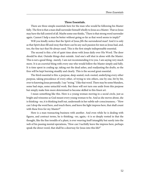# **Three Essentials.**

There are three simple essentials here for the man who would be following his Master fully. The first is that a man shall surrender himself wholly to Jesus as a Master. That so Jesus may have the full control of all. Maybe some one thinks, "There is that strong word surrender again. Cannot I help a man be better without going so far as that word seems to imply?"

Will you kindly notice that the Spirit of Jesus *fills* the surrendered man? And it is only as that Spirit does fill and sway that there can be any such passion for men as Jesus had, and, too, the fine tact that He always used. This is the first simple indispensable essential.

The second is this: a bit of quiet time alone with Jesus daily over His Word. The door should be shut. Outside things shut outside. And one's self shut in alone with the Master. This is not a good thing--merely. I am not recommending it to you. I am saying very much more. It is an *essential* thing with every one who would follow the Master simply and fully. It is time spent in coaling up, taking out the dead ashes, and readjusting the drafts, so the fires will be kept burning steadily and clearly. This is the second great essential.

The third essential is this: a purpose, deep-seated, rock-rooted, underlying every other purpose, taking precedence of every other, of trying to win others, one by one, bit by bit, over to knowing Jesus personally. I say "trying." I like that word. There may be some blunders, some bad steps, some untactful work. But these will not turn one aside from this purpose but simply make him more determined to become skilled in this finest art.

I mean something like this. Here is a young woman moving in a social circle, just as bright and winsome as God meant every young woman to be. And as she moves about, she is thinking--no, it is thinking itself out, underneath in her subtle sub-consciousness,--"How can I drop the word here, and touch there, and leave the light impress here, that shall count with these lives for my Master?"

Here is a man transacting business with another. And even while he is dealing with figures, and contract terms, he is thinking,--no, again,--it is so deeply rooted in that the thought, like the fine trendils of a plant, is ever weaving itself intangibly but surely into the web of his passing mental operations, "How can I tactfully leave the impress here, perhaps speak the direct word, that shall be a doorway for Jesus into this life?"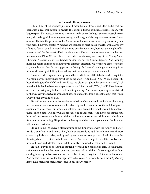#### **A Blessed Library Corner.**

I think I might tell you best just what I mean by a bit from a real life. The bit that has been such a real inspiration to myself. It is about a friend of mine, a business man, with large responsible interests, keen and shrewd in his business dealings, a very earnest Christian man, with a delightful, winning personality, and I am grateful to say who was a warm friend of mine. He is in the presence of his Master now. He was a man much my senior in years, who helped me very greatly. Whenever we chanced to meet in our travels I would drop my affairs as far as I could to spend all the time possible with him, both for the delight of his presence, and for the practical help he always was. The last time we were ever together was in Columbus, Ohio. We met there to attend an anniversary meeting of the Young Men's Christian Association, in Dr. Gladden's Church, on the Capitol Square. And Monday morning before taking our trains away in different directions we went for a drive, to get the air, and talk a bit. I made the suggestion of driving, for I knew I would get something from him. And I was right. I did get something that I never forgot, and never shall.

As we were driving, and talking, by and by, in a little lull of the talk, he said very quietly, "Gordon, do you know what I have been doing lately?" And I said, "No." "Well," he said, "it's been the delight of my life," and I could see the gleam of light in his eyes. And I said, "Tell me what it is that has been such a pleasure to you." And he said, "Well, I will." Then he went on in a very taking way he had to tell this simple story. And he was speaking as to a friend, for he was very modest, and would not have spoken of the thing; except to *help*; that would always bring anything he had.

He said when he was at home--he travelled much--he would think about the young men whom he knew who were not Christians. Splendid men, some of them; full of power; clubmen, some of them. But who did not know Jesus personally. And he would think, "Now there's such a man. I wonder what's his easy side of approach." And he would think about him, and pray some about him. And then make an opportunity to ask him up to his home for dinner some evening. His position in the city would make any young man feel honored with such an invitation.

He said to me, "We have a pleasant time at the dinner table with the family, and afterwards, a bit of music and so on. Then," with a quiet smile he said, "I ask him into my library corner, my little study den, and by and by we come to close quarters. I tell him what I'm thinking about. I tell him what a Friend Jesus is. And how it helps to have Him in all of one's life as a Friend and Master. Then I ask him softly if he won't let Jesus be his Friend."

He said, "I try to be as tactful as though I were selling a contract of cars. Though there's a fine reverence here that never gets into business talk. And then if it seems good, without causing him any embarrassment, we have a bit of prayer together. Not always, but often." And he said to me, with a tender eagerness in his voice, "Gordon, it's been the *delight* of my life to have man after man accept Jesus in my library corner."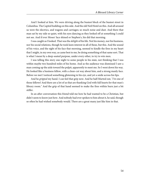And I looked at him. We were driving along the busiest block of the busiest street in Columbus. The Capitol building on this side. And the old Neil Hotel on this. And all around us were the electrics, and wagons and carriages; so much noise and dust. And there that man sat by my side so quiet, with his eyes dancing as they looked off at something I could not see. And if ever Moses' face shined or Stephen's, his did that morning.

I was caught as I looked. That was the delight of his life. Not his money, nor his business, nor his social relations, though he took keen interest in all of these, but this. And the sound of his voice, and the sight of his face that morning, seemed to kindle the fires in my heart that I might, in my own way, as came best to me, be doing something of that same sort. That is what I mean by a deep-seated purpose, under every other, to try to win men.

I was telling this story one night to some people in his state, not thinking that I was within maybe two hundred miles of his home. And as the audience was dismissed I saw a man coming up the aisle toward the pulpit, apparently to meet me. So I went down his way. He looked like a business fellow, with a clean-cut way about him, and a strong manly face. Before we met I noticed something glistening in his eye, and yet a smile across his lips.

And he gripped my hand. I can feel that grip now. And he half-blurted out, "I'm one of those fellows! And there are a lot of us that are thanking God with full hearts for that man's library room." And the grip of that hand seemed to make the fires within burn just a bit stiffer.

In an after conversation this friend told me how he had wanted to be a Christian, but didn't seem to know just how. And nobody had ever spoken to him about it, he said, though so often he had wished somebody would. There are a great many just like him in that.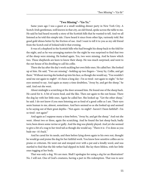## **"Two Missing"--"Go Ye."**

Same years ago I was a guest at a small wedding dinner party in New York City. A Scotch-Irish gentleman, well known in that city, an old friend, spoke across the table to me. He said he had heard recently a story of the Scottish hills that he wanted to tell. And we all listened as he told this simple tale. I have heard it since from other lips, variously told. But good gold shines better by the friction of use. And I want to tell it to you as my old friend from the Scotch end of Ireland told it that evening.

It was of a shepherd in the Scottish hills who had brought his sheep back to the fold for the night, and as he was arranging matters for the night he was surprised to find that two of the sheep were missing. He looked again. Yes, two were missing. And he knew which two. These shepherds are keen to know their sheep. He was much surprised, and went to the out-house of his dwelling to call his collie.

There she lay after the day's work suckling her own little ones. He called her. She looked up at him. He said, "Two are missing"--holding up two fingers--"Away by, Collie, and get them." Without moving she looked up into his face, as though she would say, "You wouldn't send me out again to-night?--it's been a long day--I'm so tired--not again to-night." So her eyes seemed to say. And again as many a time doubtless, "Away by, and get the sheep," he said. And out she went.

About midnight a scratching at the door aroused him. He found one of the sheep back. He cared for it. A bit of warm food, and the like. Then out again to the out-house. There the dog lay with her little ones. Again he called her. She looked up. "Get the other sheep," he said. I do not know if you men listening are as fond of a good collie as I am. Their eyes seem human to me, almost, sometimes. And hers seemed so as she looked up and seemed to be saying out of their great depths--"Not *again*--to-night?--haven't I been faithful?--I'm so tired--not again!"

And again as I suppose many a time before, "Away by, and get the sheep." And out she went. About two or three, again the scratching. And he found the last sheep back; badly torn; been down some ravine or gully. And the dog was plainly played. And yet she seemed to give a bit of a wag to her tired tail as though she would say, "There it is--I've done as you bade me--it's back."

And he cared for its needs, and then before lying down again to his own rest, thought he would go and praise the dog for her faithful work. You know how sensitive collies are to praise or criticism. He went out and stooped over with a pat and a kindly word, and was startled to find that the life-tether had slipped its hold. She lay there lifeless, with her little ones tugging at her body.

That was only a dog. We are men. Shall I apologize for using a *dog* for an illustration? No. I will not. One of God's creatures, having a part in His redemption. That was to save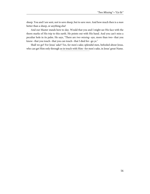sheep. You and I are sent, not to save sheep, but to save men. And how much then is a man better than a sheep, or anything else!

And our Master stands here to-day. Would that you and I might see His face with the thorn marks of His trip to this earth. He points out with His hand. And you can't miss a peculiar hole in its palm. He says, "There are two missing--aye, more than two--that you know--that you touch--that you can touch--that I died for--go ye."

Shall we go? For Jesus' sake? Yes, for men's sake; splendid men, befooled about Jesus, who can get Him only through us in touch with Him--for men's sake, in Jesus' great Name.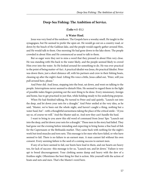# **Deep-Sea Fishing: The Ambition of Service.**

## **(Luke v:1-11.)**

#### **A Water Haul.**

Jesus was very fond of the outdoors. The Gospels have a woodsy smell. He taught in the synagogues, but He seemed to prefer the open air. He would go out on a country road, or down by the beach of the Galilean lake, and the people would eagerly gather around Him, and He would talk to them. One morning He had gone down to the lake shore. The people crowded in about Him and He commenced as usual to talk to them.

But so eager were they not to miss a word that they pressed in about Him very close. He was standing with His back to the water likely, and the people seemed likely to crowd Him over into the water. So He looked around for something to do. He was ever practical to the point of being matter-of-fact. A practical idealist was Jesus, the practical Idealist. Peter was down there, just a short distance off, with his partners and crew in their fishing boats, cleaning up after the night's haul. Lifting His voice a little, Jesus called out, "Peter, will you pull around here, please."

And Peter did. And Jesus, stepping into the boat, sat down, and went on talking to the people. Interruptions never seemed to disturb Him. He seemed to regard them in the light of possible index fingers pointing out the next thing to be done. Every missionary, foreign and home, has to get practised in just that, while holding steady to his underlying purpose.

When He had finished talking, He turned to Peter and said quietly, "Launch out into the deep, and let down your nets for a draught." And Peter smiled at the very idea, as he said, "Master, we've been out the whole night, and haven't caught a thing, nothing but a water haul, but"--with a thoughtful earnestness taking the place of the critical smile--"if you say so, of course we will." And the Master said so. And now they can't handle the haul.

I want to bring to you anew this old word of command from Jesus' lips: "Launch out into the deep, and let down your nets for a draught." These men in the story had failed. They had gone out the evening before intending and expecting to bring home a fine haul of fish for the Capernaum or the Bethsaida market. They came back with nothing for the night's work but tired muscles and torn nets. This message is for men who have failed, or who have seemed to fail. There is no failure to an earnest man. A man cannot fail without his own consent. Every seeming failure is the seed of a coming success to earnest men.

If any of us have seemed to fail, our boots have lead in them, and our hearts are heavy too, for lack of success--this message is for us, "Launch out, and let down." Failure is very apt to breed discouragement. Your clothing seems damp and heavy with the dew of a fruitless night. Oftentimes the best thing for that is action. Mix yourself with the action of boats and nets and men. That's the Master's word here.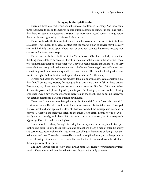#### **Living up in the Spirit Realm.**

There are three facts that group about the message of Jesus in this story. And those same three facts need to group themselves in bold outline about our using of it, too. The first is this: there was *contact with Jesus as a Master*. That must come in, and come in strong, before there can be any right using of this word of command.

There needs to be the first contact when a man turns over the control of his life to Jesus as Master. There needs to be close contact that the Master's plan of service may be clearly seen and faithfully started upon. There must be continual contact that so His mastery may control and guide at every step.

The second fact is this: obedience to the Master's word. Obedience, mind you, whether the thing you are told to do seems a likely thing to do or not. Here with the fishermen there were some things that pulled the other way. They had been out all night and failed. The very sense of failure strong within them was against obedience. Discouraged men seldom succeed at anything. And there was a very unlikely chance ahead. The time for fishing with them was in the night. Failure behind, and a poor chance ahead! Yet they obeyed.

If Peter had acted the way some modern folks do he would have said something like this: "You'll excuse me, Master, for saying it; but--this is no time to fish in these waters. Pardon me, sir, I have no doubt you know about carpentering. But I'm a fisherman. When it comes to yokes and plows I'll gladly yield to you. But fishing--you see, I've been fishing ever since I was a boy. Maybe up around Nazareth, in the brooks and ponds up there, you can catch something in daylight, but not down here."

I have heard many people talking that way. But Peter didn't. Aren't you glad he didn't? He stumbled often. He talked foolishly to Jesus more than once, but not this time. He obeyed. It was against his habit, against his ideas of what was best, but the message was clear and he obeyed it. Happy is the man who listens to the inner Voice, learns keenly how to hear distinctly and accurately, and obeys. Faith is never contrary to reason, but it is frequently higher up. The spirit realm is the highest.

A man should reach up through his bodily life, through a keen, strong intellectual perception and grasp, up into the spirit realm and abide there. Many a man of splendid ability and earnestness never shakes off his intellectual scaffolding in the upward building. It remains to hamper and mar. Through a mastered body, and a disciplined mind, up to the spirit level is the full swing. Obedience to the clearly discerned voice of command from the Master is the one pathway of full power.

The third fact was sure to follow these two. It came last. There were unexpectedly large results. There always will be where the first two facts are faithfully gotten in.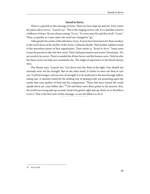# **Saved to Serve.**

There is a growth in this message of Jesus. There are four steps up and out. First comes the plain call to service: "Launch out." This is the ringing service call. It is a familiar word to a follower of Jesus. He was always saying, "Go ye." To every man He said first of all, "Come." Then, as quickly as a man came, the word was changed to "go."

I like greatly the motto of the Salvation Army. It must have been born for those workers in the warm heart of the mother of the Army, Catharine Booth. That mother explains much of the marvelous power of that organization. Their motto is, "Saved to Serve." Some seem to put the period in after the first word. That's bad punctuation and worse Christianity. We are saved to be savers. There is needed the divine Savior and the human saver. Only he who has been saved can help save somebody else. The tingle of experience in the blood attracts men.

The Master says, "Launch out." Get down into the thick of the fight. One should not unwisely wear out his strength. But on the other hand, it's better to wear out than to rust out. You'll last longer, and any loss of strength is to be preferred to the loss through yellow, eating rust. A minister noted for his striking way of putting truth was preaching upon the words that were spoken of Paul and his companions: "These that have turned the world upside down are come hither also." $14$  He said there were three points to his sermon: first, the world was wrong side up; second, it had to be gotten right side up; third, we're the fellows to do it. That is the first note of this message, we are the fellows to do it.

<sup>14</sup> Acts xvii:6.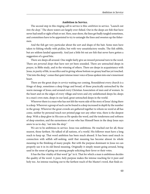#### **Ambition in Service.**

The second step in this ringing call to service is this: *ambition* in service. "Launch out into the deep." The shore waters are largely over-fished. Out in the deeps are fish that have never had smell or sight of bait or net. Here, near shore, the lines get badly tangled sometimes, and committees have to be appointed to try to untangle the lines and sweeten up the fishermen.

And the fish get very particular about the sort and shape of the bait. Some men have taken to fishing wholly with pickles, but with very unsatisfactory results. The fish nibble, but are seldom landed apparently. And just a little bit out are fish that never have gotten a suggestion of a good bite.

There are deeps all around. One might fairly give an inward personal turn to the word. There are personal deeps that have not yet been sounded. There are untouched deeps in prayer, in Bible study, and in the winning of others. There are deeps in acquaintance with Jesus, in purity of life, in sacrifice and in giving whose bottom no greasy lead has yet touched. "Out into the deep," comes that quiet intense inner voice of Jesus spoken into one's innermost heart.

There are the great *deeps in service* waiting our coming. Roundabout every church is a fringe of deep, sometimes a deep fringe and broad, of those practically untouched by the warm message of Jesus; and around every Christian Association of men and of women. In the heart and on the edges of every village and town and city unfathomed deeps lie; deeps in a man's own state, deeps in our land, great untouched deeps in the world.

Wherever there is a man who has not felt the warm side of the story of Jesus' dying there is a deep. Wherever a group of such can be found is a deep increased in depth by the number in the group. Wherever the great crowds are gathered together to whom no word at all has come, neither by personal touch nor printed page nor any other wise, there is the deepest deep. With a deep glow in His eyes as He speaks the word, and the tenderness and softness of deep emotion, and the earnestness of one who has Himself been in the deep Jesus says anew to us to-day, "out into the deep."

We are to be ambitious in service. Jesus was ambitious. He reached out for all, those nearest, those farthest. He talked of all nations, of a world. His follower must have a long reach to keep up. That word ambition has been much abused. It has been used much in connection with selfish self-seeking, until that meaning has become almost its whole meaning in the thinking of many people. But with the purpose dominant in Jesus we can properly use it in its old literal meaning. Originally it simply meant going around, being used in the sense of going out among people soliciting their favor or their votes.

It has the fine vitality of that word "go" in it. That for which a man is ambitious decides the quality of the word. A pure, holy purpose makes the intense reaching for it pure and holy too. An intense reaching out to the farthest reach of the Master's word, that finds ex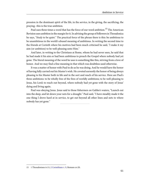pression in the dominant spirit of the life, in the service, in the giving, the sacrificing, the praying--this is the true ambition.

Paul uses three times a word that has the force of our word ambition.<sup>15</sup> The American Revision uses ambition in the margin for it. In advising the group of followers in Thessalonica he says, "Study to be quiet." The practical force of the phrase there is this: be ambitious to be unambitious in the world's abused meaning of ambitious. In writing the second time to the friends at Corinth where his motives had been much criticised he said, "I make it my aim (or ambition) to be well-pleasing unto Him."

And later, in writing to the Christians at Rome, whom he had never seen, he said that he had made it his aim or had been ambitious to preach the Gospel where nobody had yet gone. The literal meaning of the word he uses is something like this, striving from a love of honor. And we may find a fine meaning in that which was doubtless used otherwise.

It was a matter of honor with Paul to do as he was doing. And he would have the honor of having fully carried out his Master's wish. He coveted earnestly the honor of being always pleasing to his Master both in life and in the sort and reach of his service. Here are Paul's three ambitions: to be wholly free of the fires of worldly ambitions; to be well-pleasing to Jesus, his Lord; to reach out beyond, where nobody had yet gone with the story of Jesus' dying and living again.

Paul was obeying Jesus. Jesus said to those fishermen on Galilee's waters, "Launch out into the deep, and let down your nets for a draught." Paul said, "I have steadily made it the one thing I drove hard at in service, to get out beyond all other lines and nets to where nobody has yet gone."

<sup>15</sup> 1 Thessalonians iv:11; [2 Corinthians v. 9,](http://www.ccel.org/study/Bible:2Cor.5.9) Romans xv:20.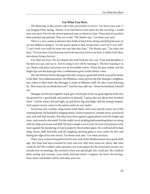## **Use What You Have.**

The third step in this service-call is this: practicality in service: "Let down your nets." I can imagine Peter saying, "Master, if we had known your plans for this morning, I would have sent up to Tyre for the newest patented nets, or down to Cairo. These nets of ours have been patched and patched. They are so old." The Master says, "Let down your nets."

There is a very common delusion that holds us back from doing something because we are not skilled in doing it. "Let the pastor speak to that young man; I can't do it very well." "I can't teach very well; let some one else take that class." The Master says, "Use what you have." Do your best. Your best may not be the best, but if it be your best, it will be God-blest, and always bring a harvest.

Use what you have. Do not despise the stuff God put into you. Train and discipline it the best you can, and use it. And in using it you will be training it. The best training is in use. Brains and pains and prayer are an irresistible trinity. When the gray matter and the finger tips and the knees get into a combination great results always come.

The old Hebrew farmer Shamgar had only a long ox-goad with which to prod his beasts in the field. The traditional enemy, the Philistine, comes up over the hill. Shamgar's neighbors have taken to their heels. But Shamgar is made of different stuff. He asks a man hurrying by, "How many do you think there are?" And the man calls out, "About six hundred, I should say."

Shamgar sets his jaws together hard, gets a fresh grip on his ox-goad, digs his heels into the ground for a good hold, and mutters to himself, "I guess they are about four hundred short." And he smites, left and right, up and down, hip and thigh, with his strange weapon. And a great victory comes to the nation under its new leader.

David had only a leather sling, home-made likely, and a few smooth stones out of the running brook. He had skill in slinging stones, a keen trained eye, a steady nerve, a practiced arm, and well-knit muscles. But what were these against a giant almost twice his height and years, and armed to the teeth? Yet the ruddy-faced stripling had something better yet along with his sling and stones and skill. He had a simple trust in God. He had a hot protest in his heart against the slandering of God's people by this heathen giant. He *combined* all he had, sling, stones, skill, and faith, and the laughing, sneering giant is soon under his feet, and feeling the edge of his own sword. "Let down your nets." Use what you have.

There was a woman living down by the east coast of the Mediterranean Sea a good while ago. Her heart had been touched by God, and ever after beat warm for others. But what could she do? She couldn't make speeches, nor write papers for the missionary society, nor preside over its meetings. She seemed to have one special gift. She could sew. She could do plain sewing and overcast, cross-stitch and hem-stitch. I suppose she knew the herringbone-stitch and feather-stitch, and other sorts too.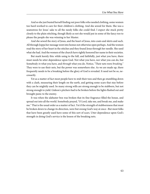And so she just busied herself finding out poor folks who needed clothing, some women too hard-worked to care for their children's clothing. And she sewed for them. She was a seamstress for Jesus' sake to all the needy folks she could find. I expect she stuck pretty closely to the plain stitching, though likely as not she would put in some of the fancy too to please the people she was winning to her Master.

And she sewed the story of Jesus, and the heart of Jesus, into coats and skirts and such. All through Joppa her message went into homes not otherwise open perhaps. And the women read the story of her heart in the stitches and they found Jesus through her needle. She used what she had. And the women of the church have rightly honored her name in their societies.

But mark keenly this: while using to the full, and faithfully, just what you have, there must needs be utter dependence upon God. Not what you have, nor what you can do, but Somebody in what you have, and through what you do. Notice, "Their nets were breaking." They were to use their nets, but the power was somewhere else. As we are made up, there frequently needs to be a breaking before the glory of God is revealed. It need not be so, necessarily.

Yet as a matter of fact most people have to stub their toes and then go stumbling down with a clash, measuring their length on the earth, and getting some scars that stay before they can be mightily used. So many strong wills are strong enough to be stubborn, but not strong enough to yield. Gideon's pitchers had to be broken before the lights flashed out and brought panic to the enemy.

It was when the alabaster box was broken that its fine fragrance filled the house, and spread out into all the world. Somebody prayed, "O Lord, take me, and break me, and make me." That is the usual order as a matter of fact. Yet if the strength of stubbornness that must be broken down to change its direction, were but swung God's way at once--But most folks that have been greatly used have some of this sort of scars. Utter dependence upon God's strength in doing God's service is the lesson of the breaking nets.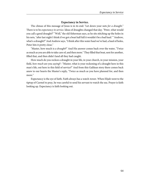## **Expectancy in Service.**

The climax of this message of Jesus is in its end: "Let down your nets for a draught." There is to be expectancy in service. Ideas of draughts changed that day. "Peter, what would you call a good draught?" "Well," the old fisherman says, as he sits stitching up the holes in his nets, "after last night I think if we got a boat half full it wouldn't be a bad haul." "Andrew, what's a draught?" And Andrew says, "I think after this water haul we've had, a haul of holes, Peter hits it pretty close."

"Master, how much is a draught?" And His answer comes back over the water, "Twice as much as you are able to take care of, and then more." They filled that boat, sent for another, filled that, and then didn't land all they had caught.

How much do you reckon a draught in your life, in your church, in your mission, your field, how much are you saying?--"Master, what is your reckoning of a draught here in this man's life, out here in this field of service?" And from this Galilean story there comes back anew to our hearts the Master's reply, "Twice as much as you have planned for, and then more."

Expectancy is the eye of faith. Faith always has a watch-tower. When Elijah went to the tiptop of Carmel to pray, he was careful to send his servant to watch the sea. Prayer is faith looking up. Expectancy is faith looking out.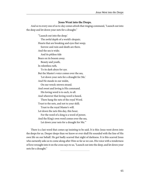#### **Jesus Went into the Deeps.**

And so to every one of us to-day comes afresh that ringing command, "Launch out into the deep and let down your nets for a draught."

"'Launch out into the deep;' The awful depth of a world's despair; Hearts that are breaking and eyes that weep; Sorrow and ruin and death are there. And the sea is wide; And its pitiless tide Bears on its bosom away. Beauty and youth, In relentless ruth, To its dark abyss for aye. But the Master's voice comes over the sea, 'Let down your nets for a draught for Me.' And He stands in our midst, On our wreck-strewn strand. And sweet and loving is His command. His loving word is to each, to all. And wherever that loving word is heard, There hang the nets of the royal Word. Trust to the nets, and not to your skill; Trust to the royal Master's will. Let down the nets this day, this hour; For the word of a king is a word of power, And the King's own word comes over the sea, Let down your nets for a draught for Me.'"

There is a last word that comes up insisting to be said. It is this: Jesus went down into the deeps for us. Deeper deeps than we know or ever shall He sounded with the line of His own life on our behalf. He got badly scarred that night of darkness. It is this scarred Jesus who earnestly asks us to come along after Him so far as we can. His voice with a tenderness of love wrought into it on the cross says to us, "Launch out into the deep, and let down your nets for a draught."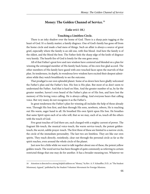# **Money: The Golden Channel of Service.**<sup>16</sup>

#### **(Luke xvi:1-18.)**

#### **Touching a Limitless Circle.**

There is an inky shadow over the home of God. There is a sharp pain tugging at the heart of God. It's a family matter; a family disgrace. One of God's family has gone off from the home circle and made a bad mess of things. Such an affair is always a source of great grief, especially where the family is an old one, with fine blood. And here the family is of the oldest, and the blood the best. The Father feels the sharp edge of the knife of disgrace very keenly. The hearth fire of God is lonely for the one gone away.

All of that Father's great love and rare wisdom have centered and blended on a plan for winning the estranged member of His family back home, of his own free glad accord. The other members of His family have gazed with awe-touched faces upon the marvels of that plan. Its tenderness, its depth, its wondrous love-wisdom have excited their deepest admiration while they watch breathlessly to see the outcome.

That prodigal is our own splendid planet. Some of us down here have gladly welcomed the Father's plan and the Father's Son. His Son is His plan. But most of us don't seem to understand the Father. And that is hard on Him. And the greater number of us, by far the greater number, haven't even heard of the Father's plan or of His Son, and have lost the memory of His loving voice calling. He is always calling. And everyone hears that calling voice. But very many do not recognize it as the Father's.

In great tenderness the Father's plan for winning all includes the help of those already won. Through His Son first, and then through His sons, newborn, reborn, He is reaching out His warm, eager hand to all. He breathed His own Spirit upon His Son. He breathes that same Spirit upon each of us who will, that so we may, each of us, touch all the others with the touch of God.

Five great touches of God there are, each charged with a mighty current of power. The fragrant life-touch, the musical voice-touch, the warm service-touch, the potent goldentouch, the secret, subtle prayer-touch. The first three of these are limited to a narrow circle, the circle of the immediate personality. The last two are limitless. They are like our own spirits. They reach directly, resistlessly, clear out through the personal circle as far as the spirit reaches, even around the whole circle of the planet.

Just now for a little while we want to talk together about one of these, the potent yellow golden-touch. The word service has been thought of quite commonly as referring to certain restricted things that one may do for another. It has a broader meaning too. Whatever we

<sup>16</sup> Attention is directed to a strong helpful address on "Money," by Rev. A. F. Schauffler, D.D., in "The Student Missionary Appeal," published by the Student Volunteer Movement for Foreign Missions.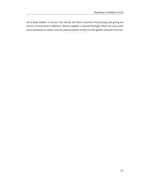do to help another is service. Not merely the direct activities, but praying and giving are service of most potent influence. Money supplies a channel through which one may reach most intimately to others, near by and around the world. It is the golden channel of service.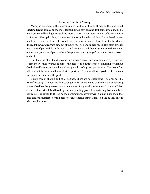# **Peculiar Effects of Money.**

Money is queer stuff. The opposites meet in it so strikingly. It may be the most cruel, exacting tyrant. It may be the most faithful, intelligent servant. If it come into a man's life unaccompanied by a high, controlling motive power, it has most peculiar effects upon him. It often wrinkles up his face, and ties hard knots in the wrinkled lines. It can dwarf a warm hand into a cold, hard, muscle-bound fist. It drains the warm blood from the heart, and dries all the sweet, fragrant dew out of the spirit. The hand suffers much. It is often stricken with a sort of palsy while in the pocket, and cannot be withdrawn. Sometimes there is a violent cramp, or a sort of pen paralysis that prevents the signing of the name--to certain sorts of checks.

But if, on the other hand, it come into a man's possession accompanied by a pure unselfish motive that controls, it comes the nearest to omnipotence of anything we handle. Gold of itself seems to have the puckering quality of a green persimmon. The green fruit will contract the mouth to its smallest proportions. And unmellowed gold acts in the same way upon the mouth of the pocket.

This is true of all gold and of all pockets. There are no exceptions. The only possible way of effecting a change is to let a stronger power come in and counteract the contracting power. Gold has the greatest contracting power of any earthly substance. Its only sufficient counteractant is God. God has the greatest expanding power known to angels or men. Gold contracts. God expands. If God be the dominating motive power in a man's life, then does gold come the nearest to omnipotence of any tangible thing. It takes on the quality of Him who breathes upon it.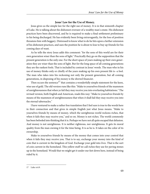### **Jesus' Law for the Use of Money.**

Jesus gives us the simple law for the right use of money. It is in that sixteenth chapter of Luke. He is talking about the dishonest overseer of a wealthy man's estate. His dishonest practices have been discovered, and he is required to make a final settlement preliminary to his being discharged. He has evidently been living extravagantly, for the loss of position threatens him with beggary. Distressed to know what to do he hits upon a farther extension of his dishonest practices, and uses the position he is about to lose to buy up friends for his coming days of want.

As he tells the story Jesus adds this comment: "for the sons of this world are for their own generation wiser than the sons of light." Practically they go on the supposition that the present generation is the only one. For the short space of years making up their own generation they are wiser than the sons of light. But for the long space of all coming generations they are the rankest fools. That is included by contrast in Jesus' words. The man who in his use of money thinks only or chiefly of the years making up his own present life is--a fool. The man who takes into his reckoning not only the present generation, but all coming generations, in disposing of his money is the shrewd financier.

Then occurs the sentence<sup>17</sup> that contains a wonderfully simple statement for the keen, wise use of gold. The old version runs like this: "Make to yourselves friends of the mammon of unrighteousness that when ye fail they may receive you into everlasting habitations." The revised version, both English and American, reads this way: "Make to yourselves friends by means of the mammon of unrighteousness that when *it* shall fail they may receive you into the eternal tabernacles."

I have ventured to make a rather free translation that I feel sure is true to the words here in their connection and that gives in simple English just what Jesus means. "Make to yourselves friends by means of money, which the unrighteous world reckons riches, that when it fails they may receive you," and so on. Money is not riches. The world commonly has been befooled into thinking that it is. Perhaps we have not all quite escaped that delusion. And money is not unrighteous. It is neither righteous, nor unrighteous. It gets its moral quality from the man owning it for the time being. It is as he is. It takes on the color of its ownership.

Make to yourselves friends by means of the money that comes into your control that when it fails they may receive you. That is to say, exchange your money into the kind of coin that is current in the kingdom of God. Exchange your gold into lives. That is the sort of coin current in the homeland. This yellow stuff we call riches they use for paving stones up in the homeland. Would that we might get it under our feet down here, instead of being ruled by it.

<sup>17</sup> Luke xvi:9.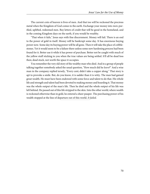The current coin of heaven is lives of men. And that too will be reckoned the precious metal when the Kingdom of God comes to the earth. Exchange your money into men; purified, uplifted, redeemed men. Buy letters of credit that will be good in the homeland, and in the coming Kingdom days on the earth, if you would be wealthy.

"That when it fails," Jesus says with fine discernment. Money will fail. There is an end to the power of gold in itself. Money will be bankrupt some day. It has enormous buying power now. Some day its buying power will be all gone. Then it will take the place of cobblestones. Yet it would seem to be a failure there unless some new hardening process had been found for it. Better use it while it has power of purchase. Better not be caught with much of the yellow stuff sticking to you when the true values are being settled. It'll all be dead loss then; dead stock, not worth the space it occupies.

You remember the very old story of the wealthy man who died. And in a group of people talking together somebody asked the usual question, "How much did he leave?" And a wise man in the company replied tersely, "Every cent; didn't take a copper along." That story is apt to provoke a smile. But, do you know, it is sadder than it is witty. The man had gained great wealth. He must have been endowed with some force and talent to do that. His whole life and strength and talent had been devoted to making money and hoarding it. That money was the whole output of the man's life. Then he died and the whole output of his life was left behind. He passed out of this life stripped to the skin. Into the other world, where wealth is reckoned otherwise than in gold, he entered a sheer pauper. The purchasing power of his wealth stopped at the line of departure out of this world. It failed.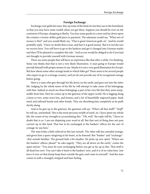## **Foreign Exchange.**

Exchange your gold into men. Buy up some of the kind of coin they use in the homeland, so that you may have some wealth when you get there. Suppose you should be over on the continent of Europe, shopping in Berlin. You buy some goods in a store and lay down upon the counter a twenty-dollar gold piece in payment. The salesman would say, "What sort of money is this?" and you would likely say, "That is good American gold, sir." And he would probably reply, "I have no doubt that is true, and that it is good money. But it is not the sort we receive here. You will have to go to the bankers and get it changed into German marks and then I'll be pleased to complete this sale." And so you would be obliged to do if you had not thought to provide yourself with German money.

There are some people that will have an experience like that after a while, I'm thinking. Some one thinks that that is not a very likely illustration. A man going to Europe would provide himself with proper money to use. Maybe it is not a very good illustration for *Europe*. But how about some other strange lands to which folks go? There seem to be several people who expect to go to a strange country, and yet do not provide any of its recognized coinage before going.

Here is a man who gets through his life down on the earth, and goes out into the other life. Judging by the whole tenor of his life he will attempt to take some of his belongings with him. Indeed so much are these belongings a part of his very life that they seem inseparable from him. Here he comes up to the gateway of the upper world. He is lugging along a farm or two, some town lots, and houses, and a lot of beautifully engraved paper, bank stock and railroad bonds and other bonds. They are absorbing him completely as he puffs slowly along.

And as he gets up to the gateway, the gateman will say, "What's all that stuff?" "Stuff!" he will say, astonished; "this is the most precious wealth of earth, sir. I have spent my whole life, the cream of my strength in accumulating this." "Oh, well," the reply will be, "I have no doubt that is so. I am not disputing your word at all. But that sort of thing does not pass current up in this land. That has to be exchanged at the bankers' offices for the sort of coinage we use here."

The man looks a little relieved at this last remark. The other talk has sounded strange, and given him a queer misgiving in his heart, as he listened. But "banker" and "exchange"- -that sounds familiar. The ground feels a bit steadier. He picks up new spirit. "Where are the bankers' offices, please?" he asks eagerly. "They are all down on the earth," comes the quiet answer. "You must do your exchanging before you get as far up as this. That stuff is all dead loss now. You can't take it back to the bankers' now, and it is of no value here. Just leave it over on that dump heap there outside the gate, and come in yourself." And the man comes in with a strangely stripped and bare feeling.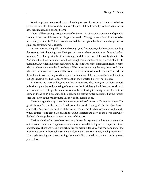What we get and keep for the sake of having, we lose, for we leave it behind. What we give away freely for Jesus' sake, for men's sake, we will find by and by we have kept, for we have sent it ahead in a changed form.

There will be a strange readjustment of values on the other side. Some men of splendid strength have spent it in accumulating earth's wealth. They give, even freely it seems to be, in very large amounts. Yet be it keenly marked the sum given by these men always bears a small proportion to what is kept.

Others there are of equally splendid strength, and fine powers, who have been spending that strength in influencing men. Their passion seems to have been for *men*, for men's selves, for men's lives. The great bulk of their strength and time has been deliberately given to this. And some that have not understood have thought such conduct strange, a sort of fad with these men. But when values are readjusted by the standards of the final clearing house, some who have been very wealthy down here will be reckoned among the very poor. And some who have been reckoned poor will be found to be the shrewdest of investors. They will be the millionaires of the Kingdom time and in the homeland. I do not mean *dollar*-millionaires, but life-millionaires. The standard of wealth in the homeland is lives, not dollars.

And some too there will be, and not few in numbers, who have given of their strength in business pursuits to the making of money, as the Spirit has guided them, or to whom it has been left in trust by others, and who have been steadily investing the wealth that has come in the lives of men. Some folks ought to be getting better acquainted at the foreign exchange desk in the banks where this sort of business is done.

There are a good many banks that make a specialty of this sort of foreign exchange. The great Church Boards, the International Committee of the Young Men's Christian Associations, the American Committee of the Young Women's Christian Associations, the individual churches and associations, and the Bible Societies are a few of the better known of the banks having a large exchange business of this sort.

Their methods of business have been very thoroughly systematized for the convenience of investors. In almost every pew of a church may be found little deposit envelopes, mediums of exchange. There are weekly opportunities for making deposits. And the handling of the money has been so thoroughly systematized, too, that, as a rule, a very small proportion is taken up in keeping the banks running, the great bulk passing directly out to the designated place of use.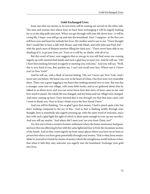#### **Gold-Exchanged Lives.**

Jesus says that our money in its new form will be waiting our arrival on the other side. The men and women into whose lives we have been exchanging it will be eagerly looking for us as the ship pulls into port. When you get through with your life down here--it will be a long life, I hope--you will go up and into the homeland. And--I suppose--at the first you will have eyes and heart for nobody but Jesus. My mother used to say to me, "I have thought that I would like to have a talk with Moses, and with Elijah, and with John and Paul, but"- with the quick tears of deepest emotion filling her dark eyes--"I have never been able in my thinking of it, to get past Jesus yet." Even so it will be, no doubt, with all of us.

But this word of Jesus' own suggests that as you go in you will find some one coming eagerly up with outstretched hands and such a glad face to meet you. And he will say, "Oh! I have been looking forward so eagerly to meeting you; welcome." And you will say, "Well, this is very kind of you. But, pardon me, I can't just recall your face. Where was it I knew you? in New York?"

And he will say, with a flush of earnest feeling, "Oh, no! I never saw New York. And I never saw you before. My home was over in the heart of China. Our lives were very miserable there. There was a great tugging at my heart that nothing seemed ever to ease. But one day a stranger came into our village, with some little books, and as we gathered about him he talked to us about Jesus, and you can never know how that story of Jesus came to me, and how much it meant. My whole life was changed, and my home and our village were changed. And since coming up here I have learned that it was *through you* that that man came, and I want to thank you. Next to Jesus I think you're the best friend I have."

And you will be thinking, "I'm so glad I gave that money. I had to pinch quite a bit, but that's nothing compared to the joy of this." And as that is flashing swiftly through your thought, here is somebody else eagerly pressing up, with the same word of welcome, and a face with such a glad light the sight of which is alone quite enough to even up any sacrifice. And you will say maybe, "And where did I meet you? are you from China, too?"

No, this one is from a western frontier settlement where the home missionary had gone, and now this one elbowing by her with the same lightened face is from the mountain section of the South. And so they come eagerly up from many places where you have never been in person but where you have gone potentially through your money. That is what Jesus means. Make to yourselves friends by means of money which the unrighteous world reckons riches, that when it fails they may welcome you eagerly into the homeland. Exchange your gold into lives.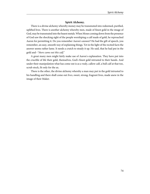# **Spirit Alchemy.**

There is a divine alchemy whereby money may be transmuted into redeemed, purified, uplifted lives. There is another alchemy whereby men, made of finest gold in the image of God, may be transmuted into the basest metals. When Moses coming down from the presence of God saw the shocking sight of the people worshiping a calf made of gold, he reproached Aaron for permitting it. Do you remember Aaron's answer? He had the gift of speech, you remember, an easy, smooth way of explaining things. Yet in the light of the recited facts the answer seems rather lame. It needs a crutch to steady it up. He said, that he had put in the gold and--"there came out this calf."

A great many men might fairly make use of Aaron's explanation. They have put into the crucible of life their gold, themselves, God's finest gold intrusted to their hands. And under their manipulation what has come out is as a vealy, callow calf, a bull calf at that too, scrub stock, fit only for the ax.

There is the other, the divine alchemy whereby a man may put in the gold intrusted to his handling and there shall come out lives, sweet, strong, fragrant lives, made anew in the image of their Maker.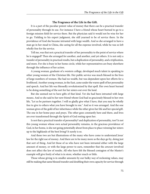#### **The Fragrance of the Life in the Gift.**

It is a part of the peculiar potent value of money that there can be a practical transfer of personality through its use. For instance I have a friend whose heart burned to go to a foreign mission field for service there. But the physician said it would not be wise for her to go. Yielding to his expert judgment, she still yearned to be of service there. In the providence of God she became intrusted with large wealth. And so she arranged to have a man go in her stead to China, she caring for all the expense involved, while he was so left wholly free for the service.

Tell me, was that not a practical transfer of her personality to the point of service where he is engaged? Then she arranged for another, and another, and yet others. It is not only a transfer of personality in practical results, but a duplication of personality, and a triplication, and more. For she is busy in her home circle, while her representatives are busy elsewhere through the influence of her action.

A young woman, graduate of a western college, developed much talent in speaking to other young women of the Christian life. Her public service was much blessed in the lives of large numbers of women. She had no wealth, but was dependent upon her efforts for a livelihood. Another young woman, in the East, came under the warm spell of her personality and speech. And her life was blessedly revolutionized by that spell. Her own heart burned to be doing something of the sort for her sisters out over the land.

But she seemed not to have gifts of that kind. Yet she had been intrusted with large means. And so she said to her new friend whom God had so graciously blessed to her own life, "Let us be partners together. I will so gladly give what I have, that you may be wholly free to give to others what you have brought to me." And so it was arranged. And the one woman gives of the gold of her inheritance while the other gives her life and her special gift. The one in her home pays and prays. The other goes constantly here and there, and lives are ever transformed through the Spirit of God resting upon her.

Is not that a practical transfer of personality? and duplication of personality, too? Is not this young woman whose own actual personality remains, in the gracious providence of God, in her home, is she not going potentially about from place to place winning her sisters up to the highlands of the best living? It surely is so.

And these two are but illustrations of the many who have come to understand Jesus' law for the right use of money. And there are to be many more as the days go by, doing just that sort of thing. And let those of us who have not been intrusted either with the large amount of money, or with the large power to earn, remember that the *amount* involved does not affect the law of results. All who have felt the blessed contagion of the Master's example will give freely of what is in store, whether much or little.

Those whose giving is in smaller amounts by our bulky way of reckoning values, may still be making that same blessed transfer and doubling their own capacity for service through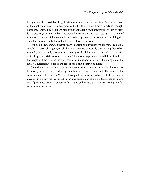the agency of their gold. For the gold given represents the life that gives. And the gift takes on the quality and power and fragrance of the life that gives it. I have sometimes thought that there seems to be a peculiar potency in the smaller gifts, that represent as they so often do the greatest, most devoted sacrifice. Could we trace the intricate crossings of the lines of influence in the web of life, we would be awed many times at the potency of the giving that is small in amount but tinted red with the life-blood of sacrifice.

It should be remembered that through this strange stuff called money there is a double transfer of personality going on all the time. Men are constantly transferring themselves into gold, in a perfectly proper way. A man gives his labor, and at the end of a specified period he gets a certain amount of money. That money represents himself. It is himself for that length of time. That is the first transfer of manhood in money. It is going on all the time. It is necessarily so, for so we get our food, and clothing, and home.

Then there is the re-transfer of this money into some other form. As we choose to use this money, so we are re-transferring ourselves into what forms we will. The money is the transition state of ourselves. We pass through it out into the exchange of life. We reveal ourselves in the way we pass it out. In no way does a man reveal the true inner self more. And if perchance we let it, or some of it, lie and gather rust, there we are, some part of us being covered with rust.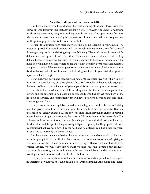#### **Sacrifice Hallows and Increases the Gift.**

But there is more yet to be said here. The great blending of the spirit forces with gold comes out wondrously in this: that *sacrifice hallows what it touches*. And under its hallowing touch values increase by long leaps and big bounds. Here is a fine opportunity for those who would increase the value of gifts that seem small in amount. Without stopping now for the philosophy of it, this is the tremendous fact.

Perhaps the annual foreign missionary offering is being taken up in your church. The pastor has preached a special sermon, and it has caught fire within you. You find yourself thinking as he preaches, and during the prayer following, "I believe I can easily make it fifty dollars this year. I gave thirty-five last time." You want to be careful *not* to make it fifty dollars, because you can do that *easily*. If you are shrewd to have your money count the most, you will pinch a bit somewhere and make it sixty-two fifty. For the extra amount that you pinch to give will hallow the original sum and increase its practical value enormously. Sacrifice hallows what it touches, and the hallowing touch acts in geometrical proportion upon the value of the gift.

Better turn your gown, and readjust your hat, for the sacrifice involved will give a new beauty to the spirit looking out through your face. And real folks will not be able to get past the beauty of face to the incidentals of your apparel. Wear your derby another season, and get your shoes half-soled, and some deft mending done. Let that extra horse go to other buyers, and the automobile be picked up by somebody who has not yet mined any of the fine gold of sacrifice. The coming rainy day will never be able to use up all that some folks are salting down for it.

And yet some folks, many folks, should be spending more on their bodies and giving less. The giving should never intrench upon the strength of one's personality. That is a treasure to be sacredly guarded. All the power of one's life, in serving, in giving, in praying, in speaking, and in personal contact, the power of all roots down in the personality. The safe rule, and the only safe rule, is to decide such questions with the knee-joint bent, and the door shut, and the spirit willing. A strong will played upon by the Holy Spirit, mellowed by emotions that have been moved by the need, and held steady by a disciplined judgment must attend to loosening the purse-strings.

But the one fact being emphasized here just now is that the element of sacrifice must be in the giving if it is to be effective. Sacrifice was the dominant factor in God's giving of His Son, real sacrifice. It was dominant in *Jesus'* giving of His own self and His life, keen cutting sacrifice. Who will follow in their train? Whoever will, will be getting a post-graduate course in financiering and in multiplying of values. He will be astonished at the results working out, and most astonished at the final disclosures.

Keeping out of circulation more than one's wants, properly adjusted, call for is poor financiering. For that which is held back is not earning anything. All beyond one's needs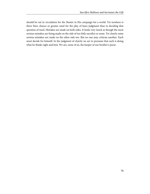should be out in circulation for the Master in His campaign for a world. Yet nowhere is there finer chance or greater need for the play of keen judgment than in deciding that question of need. Mistakes are made on both sides. It looks very much as though the most serious mistakes are being made on the side of too little sacrifice or none. Yet clearly some serious mistakes are made on the other side too. But no one may criticise another. Each must decide for himself. In the judgment of charity we are to presume that each is doing what he thinks right and best. We are, none of us, the keeper of our brother's purse.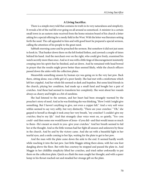## **A Living Sacrifice.**

There is a simple story told that contains its truth in its very naturalness and simplicity. It reveals a bit of the real life ever going on all around us unnoticed. A minister in a certain small town in an eastern state received from the home mission board of his church a letter asking for a special offering for a needy field in the West. With the letter was literature setting forth the need. The call appealed to him and with good heart he prepared a special sermon, calling the attention of his people to the great need.

Sabbath morning came and he preached the sermon. But somehow it did not just seem to hook in. That banker down there on the left looked listless, and yawned a couple of times behind his hand. And the merchant over on the right, who could give freely, examined his watch secretly more than once. And so it was with a little tinge of discouragement insistently creeping into his spirit that he finished, and sat down. And he remained with head bowed in prayer that the results might prove better than seemed likely, while the church officers passed down the aisles with the collection plates.

Meanwhile something unseen by human eye was going on in the very last pew. Back there, sitting alone, was a little girl of a poor family. She had met with a misfortune which left her crippled. And her whole life seemed so dark and hopeless. But some kind friends in the church, pitying her condition, had made up a small fund and bought her a pair of crutches. And these had seemed to transform her completely. She went about her rounds always as cheery and bright as a bit of sunshine.

She had listened to the sermon, and her heart had been strangely warmed by the preacher's story of need. And as he was finishing she was thinking, "How I wish I might give something. But I haven't anything to give, not even a copper left." And a very soft voice within seemed to say very softly, but very distinctly, "There are your crutches." "Oh," she gasped to herself as though it took away her very breath, "my crutches? I couldn't give my crutches; they're my life." And that strangely clear voice went on, so quietly, "Yes--you could--and then some one would know of Jesus--if you did--and that would mean so much to them--He's meant so much to you--give your crutches." And her breath seemed to fail her at the thought. And so the little woman had her fight all unseen and unknown by those in the church. And by and by the victory came. And she sat with a beautiful light in her tearful eyes, and a smile coming to her lips, waiting for the plate to get to her pew.

And the man with the plate came down the aisle to the end. It seemed hardly worth while reaching it into the last pew. Just little Maggie sitting there alone, with her one foot dangling above the floor. But with fine courtesy he stopped and passed the plate in. And Maggie in her childlike simplicity lifted her crutches, and tried rather awkwardly to put them on the collection plate. Quick as a flash the man caught her thought, and with a queer lump in his throat reached out and steadied her strange gift on the plate.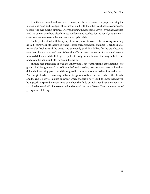And then he turned back and walked slowly up the aisle toward the pulpit, carrying the plate in one hand and steadying the crutches on it with the other. And people commenced to look. And eyes quickly dimmed. Everybody knew the crutches. Maggie--giving her crutches! And the banker over here blew his nose suddenly and reached for his pencil, and the merchant reached out to stop the man returning up his aisle.

As the pastor stood with his eyesight not very clear to receive the morning's offering, he said, "Surely our little crippled friend is giving us a wonderful example." Then the plates were called back toward the pews. And somebody paid fifty dollars for the crutches, and sent them back to that end pew. When the offering was counted up it contained several hundred dollars. And the little girl, crippled in body but not in any other way, hobbled out of church the happiest little woman in the world.

She had recognized and obeyed the inner voice. That was the simple explanation of her giving. And her gift, small in itself, touched with sacrifice, became worth several hundred dollars in its earning power. And the original investment was returned for its usual service. And her gift has been increasing in its earning power as its recital has reached other hearts, and the end is not yet. I do not know just where Maggie is now. But I do know that she will be a greatly surprised woman some day when she finds out what God has done with her sacrifice-hallowed gift. She recognized and obeyed the inner Voice. That is the one law of giving, as of all living.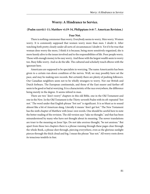# **Worry: A Hindrance to Service.**

### **(Psalm xxxvii:1-11; Matthew vi:19-34, Philippians iv:6-7. American Revision.)**

#### **Fear Not.**

There is nothing commoner than worry. Everybody seems to worry. Men worry. Women worry. It is commonly supposed that women worry more than men. I doubt it. After watching both pretty closely under all sorts of circumstances I doubt it. Yet if it be true that woman does worry the more, I think it is because, being more sensitively organized, she is more keenly alive to the issues involved and to the responsibilities of life. Poor people worry. Those with enough money to be easy worry. And those with the largest wealth seem to worry too. Busy folks worry. And so do the idle. The cultured and scholarly touch elbows with the ignorant here.

Americans are supposed to be specialists in worrying. The name Americanitis has been given to a certain run-down condition of the nerves. Well, we may possibly have set the pace, and may be making new records. But certainly there are plenty of pushing followers. Our Canadian neighbors seem not to be wholly strangers to worry. Nor our British and Dutch forbears. The European continentals, and those of the East nearer and farther off seem to be good or bad at worrying. It is a characteristic of the race everywhere, the difference being merely in the degree. It seems inbred in man.

There are two "don't-worry" chapters in this old Bible, one in the Old Testament and one in the New. In the Old Testament is the Thirty-seventh Psalm with its oft-repeated "fret not." The word under that English phrase "fret not" is significant. It is so blunt as to sound almost like a bit of American slang. Literally it means "don't get hot." The New Testament has the sixth chapter of Matthew with Jesus' own words. One should be careful here to note the better reading of the revision. The old version says "take no thought," and that has been misunderstood by many who have not thought about its meaning. The newer translations are truer to the meaning on Jesus' lips. Do not take anxious thought, "be not anxious." But apart from these two chapters there is a phrase running through these pages clear through the whole Book, a phrase shot through, piercing everywhere, even as the glorious sunlight pierces through the thick cloud and fog. I mean the phrase "fear not." All worry roots down its tenacious tendrils in fear.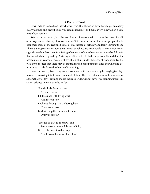## **A Fence of Trust.**

It will help to understand just what worry is. It is always an advantage to get an enemy clearly defined and keep it so, so you can hit it harder, and make every blow tell on a vital part of its anatomy.

Worry is not concern, but distress of mind. Some one said to me at the close of a talk on worry, "some folks ought to worry more." Of course he meant that some people should bear their share of the responsibilities of life, instead of selfishly and lazily shirking them. There is a proper concern about matters for which we are responsible. A man never makes a good speech unless there is a feeling of concern, of apprehension lest there be failure in that for which he is pleading. A strong sensitive spirit feels the responsibility and does the best to meet it. Worry is mental distress. It is sinking under the sense of responsibility. It is yielding to the fear that there may be failure, instead of gripping the lines and whip and determining to ride down the chance of its coming.

Sometimes worry is carrying to-morrow's load with to-day's strength; carrying two days in one. It is moving into to-morrow ahead of time. There is just one day in the calendar of action; that's to-day. Planning should include a wide swing of days; wise planning must. But action belongs to one day only, to-day.

> "Build a little fence of trust Around to-day; Fill the space with living work And therein stay; Look not through the sheltering bars Upon to-morrow; God will help thee bear what comes Of joy or sorrow."

"Live for to-day, to-morrow's sun To-morrow's cares will bring to light, Go like the infant to thy sleep And heaven thy morn shall bless."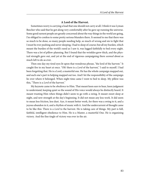# **A Lord of the Harvest.**

Sometimes worry is carrying a load that one should not carry at all. I think it was Lyman Beecher who said that he got along very comfortably after he gave up running the universe. Some good earnest people are greatly concerned about the way things in the world are going, I'm obliged to confess to some pretty serious blunders there. It seemed to me that there was so much to be done, so many people needing help, so much of wrong and sin to fight that I must be ever pushing and never sleeping. I had to sleep of course; but all my burden, which meant the burden of the world's need as I saw it, was lugged faithfully to bed every night. There was a lot of pillow-planning. But I found that the wrinkles grew thick, and the physical strength gave out, and yet at the end of vigorous campaigning there *seemed* about as much left to do as ever.

Then one day my tired eyes lit upon that wondrous phrase, "the lord of the harvest." It caught fire in my heart at once. "Oh! there is a Lord of the harvest," I said to myself. I had been forgetting that. He is a Lord, a masterful one. He has the whole campaign mapped out, and each one's part in helping mapped out too. And I let the responsibility of the campaign lie over where it belonged. When night time came I went to bed to sleep. My pillow was this, "There is a Lord of the harvest."

My keynote came to be *obedience* to Him. That meant keen ears to hear, keen judgment to understand, keeping quiet so the sound of His voice would always be distinctly heard. It meant trusting Him when things didn't seem to go with a swing. It meant sweet sleep at night, and new strength at the day's beginning. It did not mean any less work. It did seem to mean less friction, less dust. Aye, it meant better work, for there was a swing to it, and a joyous abandon in it, and a rhythm of music with it. And the undercurrent of thought came to be like this: There is a Lord to the harvest. He is taking care of things. My part is full, faithful, intelligent obedience to Him. He is a Master, a masterful One. He is organizing victory. And the fine tingle of victory was ever in the air.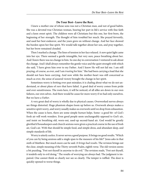#### **Do Your Best--Leave the Rest.**

I knew a mother one of whose sons was not a Christian man, and not of good habits. She was a devoted true Christian woman, bearing her part in life's service with fine faith and a keen sweet spirit. The children were all Christians but this one, her first-born, the beginning of her strength. The thought of him troubled her much. She prayed fervently, and used her best endeavor, and the years grew on without change. And her face showed the burden upon her fine spirit. We would talk together about her son, and pray together, but her brow remained clouded.

Then I marked a change. The lines of tension in her face relaxed. A new quiet light came into her eye. There seemed a gentle intangible, but very sure, peace breathing about her. And I knew there was no change in him. So one day in conversation I ventured to ask about the change. And I shall always remember the gentle voice and the quiet strength with which she said, "I have given him over to my Father. And I know He will not fail me. I am still praying, of course, as ever, and I am *trusting* for him." She had been carrying a load that she should not have been carrying. And now while the mother-heart was still concerned as much as ever, the sense of assured victory brought the change in her spirit.

Sometimes worry is fretting over past mistakes; it is chafing about what we do not understand, or about plans of *ours* that have failed. A good deal of worry comes from pride and over-sensitiveness. The roots here, it will be noticed, of all alike are down in our own failures, our own selves. And there would be cause for more worry if we had only ourselves. But we have a Father.

A very great deal of worry is wholly due to physical causes. Overworked nerves always see things distorted. Huge phantom shapes loom up before us. Overwork always makes a sensitive spirit worry, and worry usually makes us overwork until we drop from exhaustion. When the cause is here, there are some simple human helps. Some--a good bit--of God's fresh air will work wonders. Even good people seem unchangeably opposed to God's air, and insist on breathing old, worn-out, used-up second-hand air. God would be greatly glorified if housekeepers and church sextons were given a practical course in the use of fresh air, God's air. With that should be simple food, and simple dress, and abundant sleep, and simple standards of life.

Worry is utterly useless. It never serves a good purpose. It brings no good results. "Which of you can by being anxious add a single span to the measure of his life?" Jesus asks in that sixth of Matthew. But much more can be said. It brings bad results. The revision brings out the clear, simple meaning of the Thirty-seventh Psalm, eighth verse. The old version seems a bit puzzling, "Fret not thyself in anywise to do evil." The revision reads, "Fret not thyself, it tendeth only to evil doing." The results of worrying are always bad. The judgment is impaired. One cannot think so clearly nor see so clearly. The temper is ruffled. The door is quickly opened to worse things.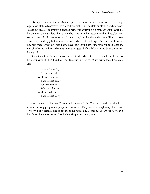It is sinful to worry. For the Master repeatedly commands us, "Be not anxious." It helps to get a habit labeled correctly. Here to tack on "sinful" in block letters, black ink, white paper, so as to get greatest contrast is a decided help. And worrying is a reproach upon Jesus. Let the Gentiles, the outsiders, the people who have not taken Jesus into their lives, let them worry if they will. But we must not. For we have Jesus. Let these who leave Him out grow crow-toes, and deeply-bitten wrinkles, and turkey-foot markings. Without Him how can they help themselves? But we folk who have Jesus should have smoothly rounded faces, the lines all filled up and ironed out. It reproaches Jesus before folks for us to be as they are in this regard.

Out of the midst of a great pressure of work, with a body tired out, Dr. Charles F. Deems, the busy pastor of The Church of The Strangers in New York City, wrote these lines years ago:

> "The world is wide, In time and tide, And God is quick; Then do not hurry. "That man is blest, Who does his best, And leaves the rest; Then do not worry."

A man should do his *best*. There should be no *shirking*. Yet I need hardly say that here, because shirking people, lazy people do not worry. They haven't enough snap about them to worry. But it steadies one to put the thing just as Dr. Deems put it. "Do your best, and, then leave all the rest to God." And when sleep time comes, sleep.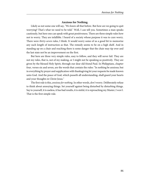# **Anxious for Nothing.**

Likely as not some one will say, "We knew all that before. But how are we going to quit worrying? That's what we need to be told." Well, I can tell you. Sometimes a man speaks cautiously, but here one can speak with great positiveness. There are three simple rules how not to worry. They are infallible. I heard of a society whose purpose it was to cure worry. There were thirty-seven rules, I think. It would worry some of us a good bit to memorize any such length of instruction as that. The remedy seems to be on a high shelf. And in standing up on a chair and reaching there is some danger that the chair may tip over and the last state not be an improvement on the first.

But here are three very simple rules, easy to follow, and they will never fail. They are not my rules, that is, not of my making, or I might not be speaking so positively. They are given by the blessed Holy Spirit, through our dear old friend Paul. In Philippians, chapter four, verses six and seven, are the words that contain the rules: "In nothing be anxious; but in everything by prayer and supplication with thanksgiving let your requests be made known unto God. And the peace of God, which passeth all understanding, shall guard your hearts and your thoughts in Christ Jesus."

The first rule is this, anxious for nothing. In other words, don't worry. Deliberately refuse to think about annoying things. Set yourself against being disturbed by disturbing things. Say to yourself, it is useless, it has bad results, it is sinful, it is reproaching my Master, I won't. That is the first simple rule.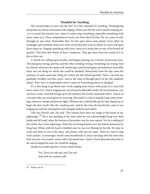### **Thankful for Anything.**

The second helps to carry out the first. It is this, *thankful for anything*. Thanksgiving and praise are always associated with singing. When you feel the worry mood creeping on- -it is a mood that attacks you--when it comes sing something, especially something with Jesus' name in it. These temptations to worry are from the Evil One. He can come in only through an *open* door. Remember that. Yet the open doors seem plenty. Even when we trustingly and resolutely keep every door of evil shut the circle in which we move will open doors upon us. Singing something with Jesus' name in it sends him or any of his brood off quickly. They hate that Name of their Conqueror. They get away from the sound of it as fast as they can.

A friend was calling upon another and began pouring out a stream of personal woes. This had gone wrong, and this, and this other would go wrong. Everything was wrong. And her friend, who knew her quite well, had her get a pencil and paper and asked her if possibly there was one thing for which she could be thankful. Reluctantly from her lips came the mention of some particular thing for which she felt indeed grateful. Then a second was gradually recalled, and then more. And as the train of thought grew on her she suddenly asked, "Why was I so despondent when I came in? Everything seems so changed."

It's a fine thing to go about one's work singing some hymn with praise in it, and with Jesus' name in it. And if singing may not always be allowable under all circumstances, you can hum a tune. And that brings up to the memory the words connected with it. I know of a woman who was much given to worrying. She made it a rule to sing the long-meter doxology whenever things seemed not right. Ofttimes she could hardly get her lips shaped up to begin the first words. But she would persist. And by the time the fourth line came it was ringing out and her atmosphere had changed without and within.

This was David's rule. He said: "Thy statutes have been my songs in the house of my pilgrimage."<sup>18</sup> He is not speaking of the time when he was acknowledged king over both Judah and all Israel, when the fortress of Jerusalem was his own capital. No, he is talking of the earlier days of his pilgrimage. When he was being hunted over the Judean fastnesses by King Saul. When with his band of faithful men he was ever fleeing for his life. He slept in caves and dens or out in the open, and always with one eye open. There he used to sing God's praises. A messenger would come breathlessly in some morning with the news that Saul was just over yonder ravine with a thousand men. And as David planned what best to do, and arranged his men, he would be singing.

Maybe he would sing that Twenty-third Psalm:

"For Thou art with me; and Thy rod And staff me comfort still."

<sup>18</sup> Psalm cxix:54.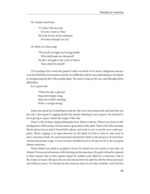Or, maybe sometimes,

"To Thee I lift my soul; O Lord, I trust in Thee: My God, let me not be ashamed Nor foes triumph o'er me."

Or, likely, he often sang:

"The Lord's my light and saving health; Who shall make me dismayed? My life's strength is the Lord; of whom Then shall I be afraid?"

Or if perhaps Ezra wrote this psalm it takes one back to his weary, dangerous journey over from Babylon to Jerusalem and the very difficult work he was undertaking in Jerusalem in reorganizing the life of the people again. He used to sing on the way, and through all his difficulties.

It is a great rule.

"When the day is gloomy Sing some happy song; Meet the world's repining With a courage strong."

Some one asked me if whistling would do. She was a busy housewife and said that was her rule. I have gone to singing myself. But maybe whistling is just as good. I'm inclined to favor giving it a place within the range of this rule.

There's a bit of deep, simple philosophy here. Music is divine. There is no music in the headquarters of the enemy. He has used it a great deal on the earth. That's a bit of his cunning. But he always has to steal it from God's sphere, and work it over to suit his own crafty purposes. Music, singing, is an open doorway for the Spirit of God to come in, and come in anew and move freely. Its sweet harmonies found their birth in the presence of God where sweetest harmonies reign. Lovers of music should be lovers of God, for He is the one great Master-musician.

When Elisha was asked to prophesy victory for Israel over the enemy at one time, he refused. He was not in harmony with this king nor his associates. His spirit refused to respond to their request. But at their urgent request he yielded, and called for a musician. And as the strains of music fell upon his ear and entered into his spirit he felt the divine presence and influence anew. We should use the musician more in our days of battle. And God has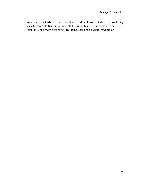wonderfully provided every one of us with a music-box of sweet melodies. If we would only open the lid, and let frequent use wear off the rust, and sing His praise more. In music God speaks to us anew with great power. This is the second rule, thankful for anything.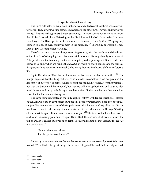## **Prayerful about Everything.**

The third rule helps to make both first and second effective. These three are closely interwoven. They always work together. Each suggests the other two. They are an interwoven trinity. The third is this, *prayerful about everything*. There are some unusually fine bits from the old Book to help here. Referring to the discipline which God's love makes Him use, David says: "For His anger is but for a moment: His favor is for a lifetime. Weeping may come in to lodge at even, but joy cometh in the morning."<sup>19</sup> There *may* be weeping. There shall be joy. Weeping won't stay long.

There's a morning coming, always a morning coming, with the sunshine and the chorus of the birds. Love's discipling touch that seems at the moment like anger is only for a moment. (The printer wanted to change that word discipling to disciplining; but God's tenderness comes to us anew when we realize that *disciplining* with its sharp edge means the same as discipling with its softer warmer touch.) The loving favor is for always, a lifetime of eternal life.

Again David says, "Cast thy burden upon the Lord, and He shall sustain thee."<sup>20</sup> The margin explains that the thing that weighs as a burden is something God has given us. He has sent it or allowed it to come. He has strong purpose in all He does. Here the promise is not that the burden will be removed, but that He will pick up both you and your burden into His arms and carry both. Many a man has praised God for the burden that made him know the tender touch of strong arms.

The same thing is repeated in the Sixty-eighth  $\text{Psalm}^{21}$  with tender variations. "Blessed be the Lord who day by day beareth our burden." Probably Peter knew a good bit about this subject. His temperament was of the impulsive sort that knows quick squalls at sea. But he had learned how to ride through them undisturbed to the calmer waters. He says, "Casting all your anxiety upon Him because He careth for you."<sup>22</sup> The force of the French version is said to be "unloading your anxiety upon Him." Back the cart up, tilt it over, let down the tail-board, let it all slip out over upon Him. The literal reading of that last half is, "He has you on His heart."

> "Is not this enough alone For the gladness of the day?"

But many of us have an inner feeling that some matters are too small, too trivial to take to God. We will take the great things, the serious things to Him and find the help needed.

<sup>19</sup> Psalm xxx:5.

<sup>20</sup> Psalm lv:22.

<sup>21</sup> Psalm lxviii:19.

<sup>22</sup> I Peter v:7.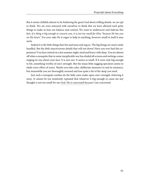But it seems childish almost to be bothering the great God about trifling details, we are apt to think. We are even annoyed with ourselves to think that we have allowed such petty things to make us lose our balance and control. We want to underscore and italicize this fact: if a thing is big enough to concern you, it is not too small for Him "because He has you on His heart." For your sake He is eager to help in anything, however small in itself it may seem.

Indeed it is the little things that fret and tease and nag so. The big things are more easily handled. But the little insectivorous details that will not down! Have you ever had this experience? You have retired on a hot summer night, tired and heavy with sleep. You are almost off when a mosquito that in some inexplicable way has eluded all screens and nettings comes singing its way about your face. It is just one. It seems so small. If it were only big enough to hit, something worthy of one's strength. But the mean little nagging specimen seems to elude every effort of yours. Maybe you take calm, deliberate measures to end its existence, but meanwhile you are thoroughly aroused and lose quite a bit of the sleep you need.

Just such a mosquito warfare do the little cares make upon one's strength, frittering it away. It cannot be too insistently repeated that whatever is big enough to cause me any thought is not too small for my God. He is concerned because I am concerned.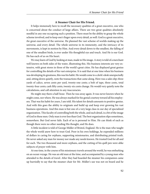# **A Steamer Chair for His Friend.**

It helps immensely here to recall the necessary qualities of a great executive, one who is concerned about the conduct of large affairs. There are two great qualities absolutely needful in any one occupying such a position. There must be the ability to grasp the whole scheme involved, and to keep one's finger upon every detail, as well. God is a great executive, the great executive of the universe. He planned the vast scheme of worlds making up the universe, and every detail. The whole universe in its immensity, and the intricacy of its movements, is kept in motion by Him. And every detail down to the smallest, the falling of one of the smallest birds, is ever under His thoughtful eye and touch. And He is our God. He has each of us on His heart.

We may learn of God by looking at man, made in His image. A story is told of a merchant well known on both sides of the water, illustrating this. His business interests are very extensive, with great stores in three of the world's great cities. He has displayed great genius for controlling the details of his vast enterprise. It is said that at one time when his business was developing its greatness, this was his habit. He would come to a clerk's desk unexpectedly and, sitting down quietly, note the transactions that came along. Here was a sales slip; three yards of calico, seven cents per yard, twenty-one cents; a bolt of tape, three cents, total twenty-four cents; cash fifty cents, twenty-six cents change. He would very quietly note the calculations, and call attention to any inaccuracies.

He might stay there a half-hour. Then he was away again. It was never known when he might come, nor where. He was always marked for his genial courtesy toward all his employees. That was his habit for years, I am told. His talent for details amounts to positive genius. And with this goes the ability to originate and build up and keep ever growing his vast business operations. And this man is but one of a very large class in our day of specialized organization. This faculty of controlling both the whole, and each detail, is a bit of the image of God in these men. Only man is ever less than God. The best organization slips sometimes, somewhere. But God never fails. Each of us is personal to Him. He can think of each as though there were no other needing His thought, and He does.

A little incident is told of George Müller of Bristol, England. He is the man who taught the whole world anew how to trust God. Poor in his own holdings, he expended millions of dollars in caring for orphans, supporting missionaries, and distributing printed truth. He never asked any man for money nor made any needs known. He trusted God for all and for each. The two thousand and more orphans, and the cutting of his quill pen were alike subjects of prayer with him.

At one time, in the course of his missionary travels around the world, he was embarking on an ocean voyage. He was an old man at the time, and accompanied by a young man who attended to the details of travel. After they had boarded the steamer his companion came up hurriedly to say that the steamer chair for Mr. Müller's use was not on board and he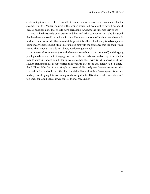could not get any trace of it. It would of course be a very necessary convenience for the steamer trip. Mr. Müller inquired if the proper notice had been sent to have it on board. Yes, all had been done that should have been done. And now the time was very short.

Mr. Müller breathed a quiet prayer, and then said to his companion not to be disturbed, that he felt sure it would be on hand in time. The attendant went off again to see what could be done, came back evidently annoyed at the possibility of his elder distinguished companion being inconvenienced. But Mr. Müller quieted him with the assurance that the chair would come. They stood at the side rail above, overlooking the dock.

At the very last moment, just as the hawsers were about to be thrown off, and the gang plank pulled away, a truck of luggage was hurriedly run on board, and on top of the pile the friends watching above could plainly see a steamer chair with G. M. marked on it. Mr. Müller, standing in his group of friends, looked up past them and quietly said, "Father, I thank Thee." Was God in that simple occurrence? He surely was. He was concerned that His faithful friend should have the chair for his bodily comfort. Man's arrangements seemed in danger of slipping. His overruling touch was put in for His friend's sake. A chair wasn't too small for God because it was for His friend, Mr. Müller.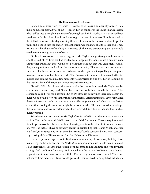#### **He Has You on His Heart.**

I got a similar story from Dr. James H. Brookes of St. Louis, a number of years ago while in his home over night. It was about J. Hudson Taylor, founder of the China Inland Mission, who had learned through many years of trusting how faithful God is. Mr. Taylor had been speaking in Dr. Brookes' church, and was to go to a town in southern Illinois to speak at the Sabbath services. Saturday morning they went down to the railroad station to get the train, and stepped into the station just as the train was pulling out at the other end. There was no possible chance of catching it. It seemed all the more exasperating that they could see the train moving away out of reach.

Dr. Brookes of course felt much chagrined. Mr. Taylor being a stranger in the country, and the guest of Dr. Brookes, had trusted his arrangements. Inquiries were quickly made about other trains. But there would not be another train out that way until night. And as they were questioning and talking the station-master said, "There's that train over there; it runs into Illinois and crosses another road down to where you want to go. They are supposed to make connections, but they never do." Dr. Brookes said he went off to make further inquiries, and coming back in a few moments was surprised to find Mr. Taylor standing on the rear platform of the train that never made the connection.

He said, "Why, Mr. Taylor, that won't make the connection." And Mr. Taylor smiled and in his very quiet way said, "Good-bye, Doctor, my Father runneth the trains." That seemed to sound well for a sermon. But to Dr. Brookes' misgivings there came again the quiet "Good-bye, Doctor, my Father runneth the trains." After starting Mr. Taylor explained the situation to the conductor, the importance of his engagement, and of making the desired connection, hoping the trainman might be of some service. The man hoped he would get the train, but said it was very doubtful as they rarely did. Mr. Taylor thanked him, and sat quietly praying.

Was the connection made? As Mr. Taylor's train pulled in the other was standing at the station. The conductor said, "Well, there it is, but I didn't expect it." There was quite enough time to get across the platform without hurrying and into the other train when it moved off. Was God in that? I have no difficulty at all in understanding that He was. What concerned His friend, in a strange land, on an errand for Himself surely concerned Him. What concerns any trusting child of His concerns Him, for He has us on His heart.

I recall a personal experience in Boston one summer day. It was a very hot day. I was to meet my mother and sister in the North Union station, where we were to take a train out. I had their tickets. I reached the station from my errands, hot and tired and with my head aching, ideal conditions for worry. As I stepped into the station I realized at once that our appointment to meet was not very definite. For the large station was crowded. There was not much time before our train would go. And I commenced to be agitated, which is a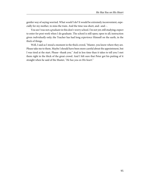gentler way of saying worried. What would I do? It would be extremely inconvenient, especially for my mother, to miss the train. And the time was short, and--and--.

You see I was not a graduate in this don't-worry school. I'm not yet; still studying; expect to enter for post work when I do graduate. The school is still open; open to all; instruction given *individually* only; the Teacher has had long experience Himself on the earth, in the thick of things.

Well, I said as I stood a moment in the thick crowd, "Master, you know where they are. Please take me to them. Maybe I should have been more careful about the appointment, but I was tired at the start. Please--thank you." And in less time than it takes to tell you I met them right in the thick of the great crowd. And I felt sure that Peter got his putting of it straight when he said of the Master, "He has you on His heart."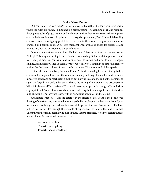# **Paul's Prison Psalm.**

Did Paul follow his own rules? The best answer to that is this little four-chaptered epistle where the rules are found. Philippians is a prison psalm. The clanking of chains resounds throughout its brief pages. At one end is Philippi; at the other Rome. Here is the Philippian end. In the inner dungeon of a prison, dark, dirty, damp, is a man, Paul. His back is bleeding and sore from the whipping-post. His feet are fast in the stocks. His position is about as cramped and painful as it can be. It is midnight. Paul would be asleep for weariness and exhaustion, but the position and the pain hinder.

Does no temptation come to him? He had been following a vision in coming over to Philippi. This is a great ending to the vision he's been having. Did no such temptation come? Very likely it did. But Paul is an old campaigner. He knows best what to do. He begins singing. His music is pitched in the major too. Most likely he is singing one of the old Hebrew psalms that he knew by heart. It was a psalm of praise. That is one end of this epistle.

At the other end Paul is a prisoner at Rome. As he sits dictating his letter, if he gets tired and would swing one limb over the other for a change, a heavy chain at his ankle reminds him of his bonds. As he reaches for a quill to put a loving touch to the end of the parchment, again the forged steel pulls at his wrist. That is the setting of Philippians, the prison psalm. What is its key word? Is it patience? That would seem appropriate. Is it long-suffering? More appropriate yet. Some of us know about short-suffering, but we are apt to be a bit short on long-suffering. The keyword is joy, with its variations of rejoice, and rejoicing.

And notice what joy is. It is the cataract in the stream of life. Peace is the gentle even flowing of the river. Joy is where the waters go bubbling, leaping with ecstatic bound, and forever after, as they go on, making the channel deeper for the quiet flow of peace. Paul had put his no-worry rules through the crucible of experience. He follows the Master in that. These three rules really mean living ever in that Master's presence. When we realize that He is ever alongside then it will be easier to be

> Anxious for nothing, Thankful for anything, Prayerful about everything.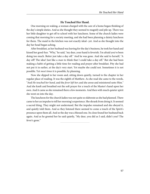# **He Touched Her Hand.**

One morning on waking, a woman charged with the care of a home began thinking of the day's simple duties. And as she thought they seemed to magnify and pile up. There was her little daughter to get off to school with her luncheon. Some of the church ladies were coming that morning for a society meeting, and she had been planning a dainty luncheon for them. The maid in the kitchen was not exactly ideal--yet. And as she thought into the day her head began aching.

After breakfast, as her husband was leaving for the day's business, he took her hand and kissed her good-bye. "Why," he said, "my dear, your hand is feverish. I'm afraid you've been doing too much. Better just take a day off." And he was gone. And she said to herself, "A day off! The idea! Just like a man to think that I could take a day off." But she had been making a habit of getting a little time for reading and prayer after breakfast. Pity she had not put it in earlier, at the day's very start. Yet maybe she could not. Sometimes it is not possible. Yet most times it is possible, by planning.

Now she slipped to her room and, sitting down quietly, turned to the chapter in her regular place of reading. It was the eighth of Matthew. As she read she came to the words, "And He touched her hand, and the fever left her; and she arose and ministered unto Him." And she knelt and breathed out the soft prayer for a touch of the Master's hand upon her own. And it came as she remained there a few moments. And then with much quieter spirit she went on into the day.

The luncheon for the church ladies was not quite so elaborate as she had planned. There came to her an impulse to tell her morning's experience. She shrank from doing it. It seemed a sacred thing. They might not understand. But the impulse remained and she obeyed it, and quietly told them. And as they listened there seemed to come a touch of the Spirit's presence upon them all. And so the day was a blessed one. Its close found her husband back again. And as he greeted her he said quietly, "My dear, you did as I said, didn't you? The fever's gone."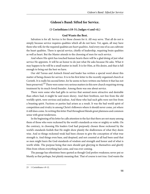# **Gideon's Band: Sifted for Service.**

### **(1 Corinthians i:18-31; Judges vi and vii.)**

#### **God Wants the Best.**

Salvation is for all. Service is for those chosen for it. All *may* serve. That all do not is simply because service requires qualities which all do not have. Yet, again, all may have them who will, for the required qualities are *heart qualities*. And every one of us can cultivate the heart qualities. There is special service, chiefly of leadership, requiring brain qualities as well as heart. But the Master attends to the choosing of men for such service.

And where His spirit has touched human hearts there will be a glad doing of just what service He appoints. It will be an honor to do just what He asks because He asks. What it may happen to be will be a small matter in itself. It is for Him, at His desire, and that is full enough to bring out the best we have.

Our old Tarsus and Antioch friend and leader has written a special word about this matter of being chosen for service. It is in his first letter to the recently organized church at Corinth. It is really his second letter, for he seems to have written one before it that has not been preserved.<sup>23</sup> There were some very serious matters in this new church requiring strong treatment by its much-loved founder. Among them was one about service.

There were some who had gifts in service that seemed more attractive and desirable than others had, it might be said more showy. And their brethren, not free from the old worldly spirit, were envious and jealous. And these who had such gifts were not free from a boasting spirit. Factions or parties had arisen as a result. It was the bad world spirit of competition and rivalry in among Christ's followers where it should never come, yet where it still does come. In writing this letter Paul throughout blends great plainness and common sense with great tenderness.

In the beginning of his letter he calls attention to the fact that there are not many among them of those who were reckoned by the world's standards as wise or mighty or noble. On the contrary, in choosing His leaders God had purposely chosen those reckoned by the world's standards foolish that He might show plainly the shallowness of what they deem wise. And so things reckoned weak had been chosen to give the conception of what true strength is. And things even base, and despised, and not counted at all had been used that so men might learn the God-standards of wisdom and strength and honor and of what is worth while. The purpose being that men should quit glorying in themselves and glorify Him from whom everything had come, and was ever coming.

The passage has oftentimes been quoted as though God prefers weakness; never put so bluntly as that perhaps, but plainly meaning that. That of course is not true. God wants the

<sup>23</sup> 1 Corinthians v:9-12.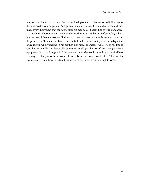best we have. He needs the best. And for leadership often His plans must wait till a man of the sort needed can be gotten. And gotten frequently means broken, shattered, and then made over wholly new, that the native strength may be used according to true standards.

Jacob was chosen rather than his elder brother Esau, not because of Jacob's goodness but because of Esau's weakness. God was narrowed to these two grandsons in carrying out the promise to Abraham. Jacob was contemptible in his moral dealings, but he had qualities of leadership wholly lacking in his brother. His moral character was a serious hindrance. God had to handle him heroically before He could get the use of his stronger mental equipment. Jacob had to get a bad throw-down before he would be willing to let God have His way. His body must be weakened before his mental power would yield. That was the weakness of his stubbornness. Stubbornness is strength not strong enough to yield.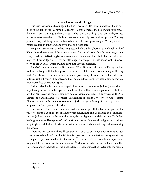### **God's Use of Weak Things.**

It is true that over and over again God has used men utterly weak and foolish and despised in the light of life's common standards. He wants men of the best mental strength, of the finest mental training, and He uses such when they are willing to be used, and governed by the true God-standards of life. But talent seems specially beset with temptation. The very power to do great things seems often to bewilder the man possessing it. Wrong ambition gets the saddle and the reins and whip too, and rides hard.

Frequently some man who had not guessed he had talent, born in some lonely walk of life, without the training of the schools, is used for special leadership. It takes longer time always. Early mental training is an enormous advantage. Carey the cobbler had mental talents to grace a Cambridge chair. It took a little longer time to get him into shape for the pioneer work he did in India. Duff's training gave him a great advantage.

But God is never in a hurry. He can wait. What He asks is that we shall bring the best we have natively, with the best possible training, and let Him use us absolutely as He may wish. And always remember that every mental power is a gift from Him; that actual power in life must be through Him only; and that mental gifts are not serviceable save as they are ever inbreathed by His own Spirit.

This word of Paul's finds most graphic illustration in the book of Judges. Judges should be put alongside of the first chapter of First Corinthians. It is a series of pictorial illustrations of what Paul is saying there. These two books, Joshua and Judges, side by side in the Old Testament stand in sharpest contrast. The keynote of Joshua is victory; of Judges defeat. There's music in both, but contrasted music. Joshua rings with songs in the major key, triumphant, militant, joyous, victorious.

The music of Judges is in the minor, sad and weeping, with the harps hanging on the willows. Joshua is upon the mountain top with sun shining and air bracing and outlook inspiring. Judges is down in the valley bottoms, dark and gloomy, and depressing. Yet Judges has bright spots, and has spurts of good music interspersed. It is a study in lights and shadows, bright lights, and dark shadowings, but with the blacker tints intensifying and overcoming the others.

There are here seven striking illustrations of God's use of strange unusual means, such as are reckoned weak and trivial. A *left-handed* man uses that peculiarity to get a great victory and eighteen years of freedom for the nation.<sup>24</sup> A farmer with as homely a weapon as an  $ox$ -goad delivers his people from oppression.<sup>25</sup> Men came to be so scarce, that is men that were men enough to take their true place as leaders, that a woman had to step into the breach,

<sup>24</sup> Judges iii:15-30.

<sup>25</sup> Judges iii:31.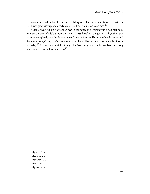and assume leadership. But the student of history and of modern times is used to that. The result was great victory, and a forty years' rest from the nation's enemies.<sup>26</sup>

A nail or tent-pin, only a wooden peg, in the hands of a woman with a hammer helps to make the enemy's defeat more decisive.<sup>27</sup> Three hundred young men with pitchers and  $trumpets$  completely rout the three armies of three nations, and bring another deliverance.  $^{28}$ Another time a piece of a millstone shoved over the wall by a woman turns the tide of battle favorably.<sup>29</sup> And as contemptible a thing as the *jawbone of an ass* in the hands of one strong man is used to slay a thousand men.<sup>30</sup>

- 28 Judges vi and vii.
- 29 Judges ix:50-57.
- 30 Judges xv:15-20.

<sup>26</sup> Judges iv:4-16; v:1.

<sup>27</sup> Judges iv:17-24.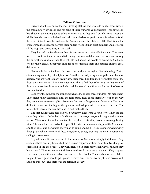# **Call for Volunteers.**

It is of one of these, one of the most striking of these, that we are to talk together awhile; the graphic story of Gideon and his band of three hundred young fellows. Things were in bad shape in the nation; about as bad in every way as they could be. This time it was the Midianites who overran the land, and held the leaderless people in most abject slavery. With them were joined two other nations, the Amalekites and the Children of the East. When the crops were almost ready to harvest, these raiders swooped in in great numbers and destroyed all the crops and drove away all the stock.

They harried the Israelites so that life was made very miserable for them. They were forced to flee from their farms and take refuge in caves and dens and the fastnesses among the hills. Then, as usual, when they got into bad shape the people remembered God, and cried for help, and, as usual with Him, He at once forgave them and planned another great deliverance.

First of all Gideon the leader is chosen out, and put through a bit of schooling. That is a fascinating story of great helpfulness. Then this trained young leader gathers his band of helpers. And we want to mark keenly how these three hundred men were sifted out of the thousands for service. They were sifted out. They sifted themselves out. In that army of thousands were just three hundred who had the needed qualifications for the bit of service God wanted done.

Look over the gathered thousands: which are the chosen three hundred? No man knew. They didn't know themselves until the tests came. They chose themselves out by the way they stood the three tests applied. Even so is God ever sifting out men for service. The more difficult the service, the higher the grade of leadership needed, the severer the test. The testing both reveals the qualities, and in part makes them.

The first quality these men had was willingness. They were all volunteers. When the call came they rallied to the leader's side. Gideon sent runners, criers, out throughout that whole section. They went first to his own family clan, then to his tribe, then to three neighboring tribes. They said that God had called upon Gideon to lead a movement against the Midianites and their allies and he wanted every man to come and help. The messengers went swiftly through the whole territory of these neighboring tribes, arousing the men to action and calling for volunteers.

A good many did not respond to the summons. Some were simply indifferent. They could not help hearing the call, but there was no response without or within. No change of expression in the eye or face. They went right on in their heavy, dull way as though they hadn't heard. They were utterly indifferent to the call. Some were reluctant. They stopped and listened, but with a heavy slant backwards to their bodies. Their heels bore most of their weight. It was a good idea to get up such a movement, the enemy ought to be driven back and out, but--but--and their eyes are half shut already.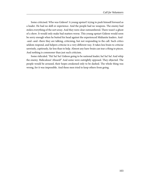Some criticised. Who was Gideon? A young upstart! trying to push himself forward as a leader. He had no skill or experience. And the people had no weapons. The enemy had stolen everything of the sort away. And they were clear outnumbered. There wasn't a ghost of a show. It would only make bad matters worse. This young upstart Gideon would soon be sorry enough when he butted his head against the experienced Midianite leaders. And- -and--and--there they are talking, criticising, but not responding to the call. Such critics seldom respond, and helpers criticise in a very different way. It takes less brain to criticise unwisely, captiously, far less than to help. Almost any hare-brain can tear a thing to pieces. And nothing is commoner than just such criticism.

Some ridiculed. "Ha! ha! ha! Gideon going to be national leader; ha! ha! ha! And whip the enemy. Ridiculous! Absurd!" And some were outrightly opposed. They objected. The people would be aroused, their hopes awakened only to be dashed. The whole thing was wrong, for it was impossible. And these men tried to keep others from going.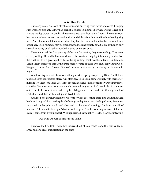# **A Willing People.**

But many came. A crowd of volunteers came hurrying from farms and caves, bringing such weapons probably as they had been able to keep in hiding. They were willing to respond. It was a motley crowd, no doubt. There were thirty-two thousand of them. These four tribes had once numbered as many as one hundred and eighty-four thousand five hundred fighting men. And at another, later, enumeration they had two hundred and twelve thousand men of war age. Their numbers may be smaller now, though possibly not. It looks as though only a small minority of all had responded, maybe one in six or so.

These men had the first great qualification for service, they were willing. They were actively willing. They willed to come down to the front and help fight the enemy, and deliver their nation. It is a great quality this of being willing. That prophetic One Hundred and Tenth Psalm mentions this as the great characteristic of those who shall rally about God's King in a coming day of power. God reckons our service not by our ability but by our willingness.<sup>31</sup>

Whatever is given out of a warm, willing heart is eagerly accepted by Him. The Hebrew tabernacle was constructed of free-will offerings. The people came willingly with their offerings and left them for Moses' use. Some brought gold and silver, some finely woven tapestries and silks. Here was one poor woman who wanted to give but had very little. So she went out to her little flock of goats whereby her living came to her, and cut off a big bunch of goat's hair, and then with much pains dyed it red.

And then one day she went up to where they were presenting their gifts and timidly laid her bunch of goat's hair on the pile of offerings, and quietly, quickly slipped away. It seemed very small on that pile of gold and silver and richly-colored weavings. But it was the gift of her heart. They had to have goat's hair as well as gold. And her offering was acceptable because it came from a willing heart. Willingness is a heart quality. It is the heart volunteering.

"Our wills are ours to make them Thine."

This was the first test. Thirty-two thousand out of four tribes stood this test. Gideon's army had one great qualification at the start.

<sup>31</sup> 2 Corinthians viii:12.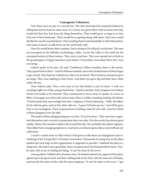#### **Courageous Volunteers.**

Now these men are put to a second test. The next morning God surprised Gideon by telling him that he had too many men. If a victory was given them with so many men they would feel that they had done the thing themselves. They would grow so large as to shut God out of their landscape. There would be no getting along with them. Each man would feel that he was the essential factor. They would go back to the homefolks to tell of themselves. God seems to know us folk down on the earth fairly well.

Now He would lessen their numbers, but in doing it He will pick out the best. The men are encamped on the hillsides overlooking a valley. Across the valley to the north lay the encamped armies of three nations. They were a vast host. They were spread out as thick as the grasshoppers of Egypt had been years before. Everywhere you looked there they were swarming.

Gideon spoke to his men. He said, "Gentlemen, Fellow-Israelites, there is the enemy. Take a good look at them." And his followers looked, and as they looked some of them began to get scared. They had not realized just what was involved. Their footwear seemed to grow too large. They were shaking in their boots. And their eyes grew big and their faces white under the tan.

Then Gideon said, "Now, every man of you that thinks it can't be done--I wish you would get right out of this, and go back home." And he watched. And I imagine even Gideon shook a bit inside as he watched. They commenced to move away in squads, in scores, in fifties. Great gaps were left in the mob of men. Here is a fellow standing, looking. He thinks, "It looks pretty bad, sure enough; but then, I suppose, if God is planning--" hello, the fellow by his side has gone, and on this other side too--"I guess I'd better go too." And off he goes. Fear is very contagious. There is great power in feeling a man by your side. And two-thirds of them disappear over the hills.

The motto of these disappearing men was this: "It can't be done." They must have organized themselves into a society to perpetuate their own idea. If so the society has shown great vitality. Many of its members abide with us until this day. No, probably they didn't organize. They didn't have enough gumption to. And such a sentiment grows like a weed without any cultivation.

I recall a certain town in Ohio where I had gone to talk about an enlargement and revitalizing of the Young Men's Christian Association. Thousands of young men in the place needed just such help as that organization is supposed to provide. I outlined the plan to a clergyman. He said it was a good plan, there was great need, the thing should be done, "but," he said, with an air of settling the thing, "it can't be done in this town."

Among others I talked with a business man. He listened attentively, approved the plans, agreed upon the great need, and then settling back in his chair with the same air of finality, used exactly the same words, with the same emphasis, "It can't be done in this town." I got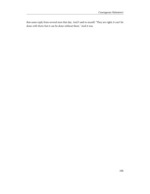that same reply from several men that day. And I said to myself, "They are right; it can't be done with them; but it can be done without them." And it was.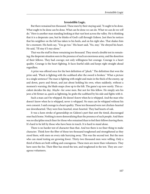### **Irresistible Logic.**

But there remained ten thousand. These men by their staying said, "It ought to be done. What ought to be done can be done. What can be done we can do. What we can do we will do." Here is another man standing looking at that vast host across the valley. He is thinking that it is a desperate case, but he thinks of God's call through Gideon. Just then he notices that his neighbor on the left has taken to his heels, and on his right also. That shakes him for a moment. His heels say, "You go too." His heart said, "No, stay." He obeyed his heart. He said, "I'll stay if I stay alone."

That was the stuff in these remaining ten thousand. They stood a double test in remaining, the desperate situation seen in the presence of such an enormous army, and the desertion of their fellows. They had *courage*; not only willingness but courage. Courage is a heart quality. Courage is the heart fighting. It faces fearful odds and keeps right straight ahead regardless.

A prize was offered once for the best definition of "pluck." The definition that won the prize said, "Pluck is fighting with the scabbard after the sword is broken." What a picture in a single sentence! The man is fighting with might and main in the thick of the enemy, up and down, parry and thrust, and just about holding his own, when suddenly, without a moment's warning, the blade snaps close up to the hilt. The game's up now surely. This accident decides the day. Maybe--for some men. But not for this fellow. He simply sets his jaws a bit firmer as, quick as lightning, he grabs the scabbard by his side and fights with it.

Such a man can't be whipped. He doesn't know when he is whipped. And the man who doesn't know when he is whipped, never is whipped. No man can be whipped without his own consent. I said courage is a heart quality. These ten thousand were not chicken-hearted nor downhearted. They were lion-hearted, stout-hearted. They had hearts of oak.

It was a keen stroke of generalship on Gideon's part that sent the timid, discouraged ones back home. Nothing is more demoralizing than the presence of such people. And there was no discipline much finer for those who remained than to feel their fellows leaving them. It's hard to be left by those who have been in touch. It is hard to stand alone.

There is no harder test of character than that. And too there is no finer thing to make character. Think how the fiber of those ten thousand toughened and strengthened as they stood there, with men on every side hurrying away. This was the second test. But the men who can stand testing are growing fewer. Thirty-two thousand men were willing. Only a third of them are both willing and courageous. These men are more than volunteers. They have seen the foe. Their fiber has stood the test, and toughened in the test. They are courageous volunteers.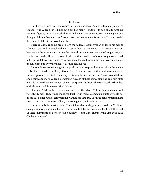## **Hot Hearts.**

But there is a third test. God comes to Gideon and says, "You have too many men yet, Gideon." And Gideon's eyes bulge out a bit. Too many! Yes, this is to be a quality fight. No common fighting here. God works best with the men who come nearest to having His own thought of things. Numbers don't count. You can't count men for service. You must weigh them, and feel the firmness of their fiber.

There is a little running brook down the valley. Gideon gives an order to his men to advance a bit. And he watches them. Most of them as they come to the water stretch out leisurely on the ground and putting their mouths to the water take a good long drink, and another, and again. They seem to say by their action, "Well, there's some tough work ahead, but we must take care of ourselves. A man must look out for number one. We must not get unduly stirred up over the thing. We're not fighting yet."

But one fellow comes along with a quick, nervous step, and his eye still on the enemy. He is all on tenter-hooks. His eye flashes fire. He reaches down with a quick movement and gathers up some water in his hand, up to his mouth, and hurries on. Then a second fellow, and a third, and more. Gideon is watching. As each of these comes along he calls him off to one side. When the whole number of men have passed the brook there are just three hundred of the hot-hearted, intense-spirited fellows.

God said, "Gideon, keep these men; send the others back." These thousands sent back were sturdy men. They would make good fighters in many a campaign, but they would not do for this higher kind of campaigning planned for that day. The little band remaining had stood a third test, they were willing, and courageous, and enthusiastic.

Enthusiasm is the heart burning. These fellows had spring and snap to them. Yet it was a tempered spring and snap, the sort that would last. By their action at the brook they said, "If there's fighting to be done, let's do it quickly; let's go at the enemy with a vim and a rush. Oh! let us at them."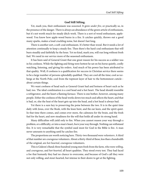### **God Still Sifting.**

Yet, mark you, their enthusiasm was seasoned. It grew *under fire*, or practically so, in the presence of the danger. There is always an abundance of the green article of enthusiasm, but it's not worth much for steady ditch-work. There is a sort of wood enthusiasm, applewood. You know how apple-wood burns in a fire. It catches quickly, throws out a good many sparks, makes a loud crackling noise, but doesn't last long.

There is another sort, a soft-coal enthusiasm. It's better than wood. But it needs a lot of attention continually to keep a steady fire. Then there's the hard-coal enthusiasm that will burn steadily and faithfully by the hour. Yet no kind, mark you, will run long without fresh fuel. We need in our service more of the seasoned enthusiasm.

It has been said of General Grant that one great reason for his success as a soldier was in his coolness. While the fighting and firing were hottest he sat on his horse quietly, coolly watching, listening, and giving his orders. And much of his power has been attributed to that quality. Well, if coolness is a qualification for success in Christian service there seems to be a large number of persons splendidly qualified. They are cool all the time; cool as icebergs at the North Pole; cool from the topmost layer of hair to the bottommost cuticle- about certain things.

We want coolness of head such as General Grant had and hotness of heart such as he had, too. The ideal combination is a cool head and a hot heart. The head should resemble a refrigerator, and the heart a flaming furnace. There is one bother, however, among many people. Either the coolness of the head works down too much and affects the heart, and that is bad, or, else the heat of the heart gets up into the head, and a hot head is always bad.

Yet there is a sure key to preserving the poise between the two. It is in the quiet time daily with Jesus, over the Book, with the knee bent, and the ear keen, and the spirit quiet. In that time there comes, and comes ever more, the calmness for the brain, and the fresh fuel for the heart, and new steadiness for the will that holds all under its strong hand.

Many difficulties will yield only to fire. When you cannot reason your way through a problem, or a difficulty, or into a man's heart, *burn* your way through. Nothing can withstand fire. It is very remarkable that the symbol used most for God in the Bible is fire. A man never amounts to anything until he catches fire.

The proportions are worth noticing here. Thirty-two thousand were volunteers. A third of that number are courageous volunteers. About a thirty-third of these, less than a hundredth of the original, are hot-hearted, courageous volunteers.

This is Gideon's Band; three hundred young men fresh from the farm, who were willing, and courageous, and hot-hearted, all heart qualities. They stood every test. They had faced a foe that humanly they had no chance to overcome, and because of God's call they were not only willing, and stout-hearted, but intense in their desire to get at the fighting.